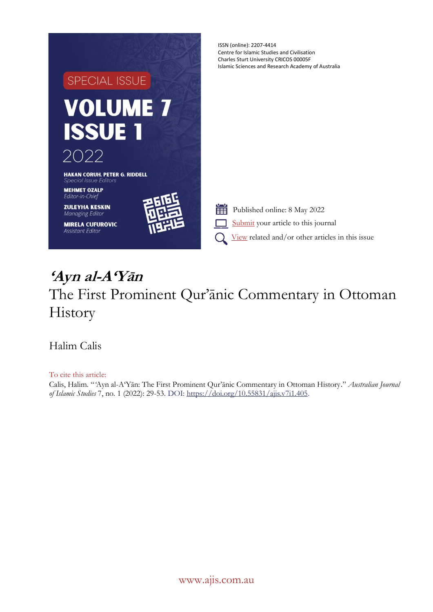

# **'Ayn al-A'Yān** The First Prominent Qur'ānic Commentary in Ottoman History

Halim Calis

To cite this article: Calis, Halim. "*'*Ayn al-A'Yān: The First Prominent Qur'ānic Commentary in Ottoman History." *Australian Journal of Islamic Studies* 7, no. 1 (2022): 29-53. DOI[: https://doi.org/10.55831/ajis.v7i1.405.](https://doi.org/10.55831/ajis.v7i1.405)

[www.ajis.com.au](http://www.ajis.com.au/)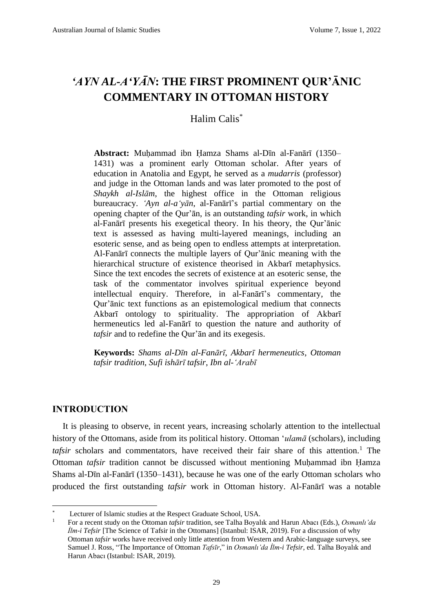# *'AYN AL-A'YĀN***: THE FIRST PROMINENT QUR'ĀNIC COMMENTARY IN OTTOMAN HISTORY**

## Halim Calis\*

**Abstract:** Muḥammad ibn Ḥamza Shams al-Dīn al-Fanārī (1350– 1431) was a prominent early Ottoman scholar. After years of education in Anatolia and Egypt, he served as a *mudarris* (professor) and judge in the Ottoman lands and was later promoted to the post of *Shaykh al-Islām*, the highest office in the Ottoman religious bureaucracy. *'Ayn al-a'yān*, al-Fanārī's partial commentary on the opening chapter of the Qur'ān, is an outstanding *tafsir* work, in which al-Fanārī presents his exegetical theory. In his theory, the Qur'ānic text is assessed as having multi-layered meanings, including an esoteric sense, and as being open to endless attempts at interpretation. Al-Fanārī connects the multiple layers of Qur'ānic meaning with the hierarchical structure of existence theorised in Akbarī metaphysics. Since the text encodes the secrets of existence at an esoteric sense, the task of the commentator involves spiritual experience beyond intellectual enquiry. Therefore, in al-Fanārī's commentary, the Qur'ānic text functions as an epistemological medium that connects Akbarī ontology to spirituality. The appropriation of Akbarī hermeneutics led al-Fanārī to question the nature and authority of *tafsir* and to redefine the Qur'ān and its exegesis.

**Keywords:** *Shams al-Dīn al-Fanārī*, *Akbarī hermeneutics*, *Ottoman tafsir tradition*, *Sufi ishārī tafsir*, *Ibn al-'Arabī*

#### **INTRODUCTION**

It is pleasing to observe, in recent years, increasing scholarly attention to the intellectual history of the Ottomans, aside from its political history. Ottoman '*ulamā* (scholars), including *tafsir* scholars and commentators, have received their fair share of this attention.<sup>1</sup> The Ottoman *tafsir* tradition cannot be discussed without mentioning Muḥammad ibn Ḥamza Shams al-Dīn al-Fanārī (1350–1431), because he was one of the early Ottoman scholars who produced the first outstanding *tafsir* work in Ottoman history. Al-Fanārī was a notable

Lecturer of Islamic studies at the Respect Graduate School, USA.

<sup>1</sup> For a recent study on the Ottoman *tafsir* tradition, see Talha Boyalık and Harun Abacı (Eds.), *Osmanlı'da İlm-i Tefsir* [The Science of Tafsir in the Ottomans] (Istanbul: ISAR, 2019). For a discussion of why Ottoman *tafsir* works have received only little attention from Western and Arabic-language surveys, see Samuel J. Ross, "The Importance of Ottoman *Tafsīr*," in *Osmanlı'da İlm-i Tefsir*, ed. Talha Boyalık and Harun Abacı (Istanbul: ISAR, 2019).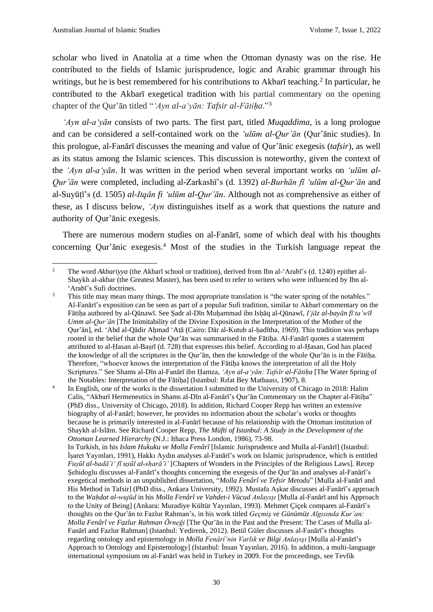scholar who lived in Anatolia at a time when the Ottoman dynasty was on the rise. He contributed to the fields of Islamic jurisprudence, logic and Arabic grammar through his writings, but he is best remembered for his contributions to Akbarī teaching.<sup>2</sup> In particular, he contributed to the Akbarī exegetical tradition with his partial commentary on the opening chapter of the Qur'ān titled "*'Ayn al-a'yān: Tafsir al-Fātiḥa*." 3

*'Ayn al-a'yān* consists of two parts. The first part, titled *Muqaddima*, is a long prologue and can be considered a self-contained work on the *'ulūm al-Qur'ān* (Qur'ānic studies). In this prologue, al-Fanārī discusses the meaning and value of Qur'ānic exegesis (*tafsir*), as well as its status among the Islamic sciences. This discussion is noteworthy, given the context of the *'Ayn al-a'yān*. It was written in the period when several important works on *'ulūm al-Qur'ān* were completed, including al-Zarkashī's (d. 1392) *al-Burhān fī 'ulūm al-Qur'ān* and al-Suyūṭī's (d. 1505) *al-Itqān fi 'ulūm al-Qur'ān*. Although not as comprehensive as either of these, as I discuss below, *'Ayn* distinguishes itself as a work that questions the nature and authority of Qur'ānic exegesis.

There are numerous modern studies on al-Fanārī, some of which deal with his thoughts concerning Qur'ānic exegesis. <sup>4</sup> Most of the studies in the Turkish language repeat the

<sup>&</sup>lt;sup>2</sup> The word *Akbariyya* (the Akbarī school or tradition), derived from Ibn al-'Arabī's (d. 1240) epithet al-Shaykh al-akbar (the Greatest Master), has been used to refer to writers who were influenced by Ibn al- 'Arabī's Sufi doctrines.

<sup>&</sup>lt;sup>3</sup> This title may mean many things. The most appropriate translation is "the water spring of the notables." Al-Fanārī's exposition can be seen as part of a popular Sufi tradition, similar to Akbarī commentary on the Fātiḥa authored by al-Qūnawī. See Ṣadr al-Dīn Muḥammad ibn Isḥāq al-Qūnawī, *Iʻjāz al-bayān fī ta'wīl Umm al-Qur'ān* [The Inimitability of the Divine Exposition in the Interpretation of the Mother of the Qur'ān], ed. ʻAbd al-Qādir Aḥmad ʻAṭā (Cairo: Dār al-Kutub al-ḥadītha, 1969). This tradition was perhaps rooted in the belief that the whole Qur'ān was summarised in the Fātiha. Al-Fanārī quotes a statement attributed to al-Ḥasan al-Baṣrī (d. 728) that expresses this belief. According to al-Ḥasan, God has placed the knowledge of all the scriptures in the Qur'ān, then the knowledge of the whole Qur'ān is in the Fātiha. Therefore, "whoever knows the interpretation of the Fātiha knows the interpretation of all the Holy Scriptures." See Shams al-Dīn al-Fanārī ibn Ḥamza, *'Ayn al-a'yān: Tafsīr al-Fātiḥa* [The Water Spring of the Notables: Interpretation of the Fātiḥa] (Istanbul: Rıfat Bey Matbaası, 1907), 8.

<sup>4</sup> In English, one of the works is the dissertation I submitted to the University of Chicago in 2018: Halim Calis, "Akbarī Hermeneutics in Shams al-Dīn al-Fanārī's Qur'ān Commentary on the Chapter al-Fātiḥa" (PhD diss., University of Chicago, 2018). In addition, Richard Cooper Repp has written an extensive biography of al-Fanārī; however, he provides no information about the scholar's works or thoughts because he is primarily interested in al-Fanārī because of his relationship with the Ottoman institution of Shaykh al-Islām. See Richard Cooper Repp, *The Müfti of Istanbul: A Study in the Development of the Ottoman Learned Hierarchy* (N.J.: Ithaca Press London, 1986), 73-98.

In Turkish, in his *Islam Hukuku ve Molla Fenârî* [Islamic Jurisprudence and Mulla al-Fanārī] (Istanbul: İşaret Yayınları, 1991), Hakkı Aydın analyses al-Fanārī's work on Islamic jurisprudence, which is entitled *Fuṣūl al-badā'i' fī uṣūl al-sharā'i'* [Chapters of Wonders in the Principles of the Religious Laws]. Recep Şehidoglu discusses al-Fanārī's thoughts concerning the exegesis of the Qur'ān and analyses al-Fanārī's exegetical methods in an unpublished dissertation, "*Molla Fenârî ve Tefsir Metodu*" [Mulla al-Fanārī and His Method in Tafsir] (PhD diss., Ankara University, 1992). Mustafa Aşkar discusses al-Fanārī's approach to the *Waḥdat al-wujūd* in his *Molla Fenârî ve Vahdet-i Vücud Anlayışı* [Mulla al-Fanārī and his Approach to the Unity of Being] (Ankara: Muradiye Kültür Yayınları, 1993). Mehmet Çiçek compares al-Fanārī's thoughts on the Qur'ān to Fazlur Rahman's, in his work titled *Geçmiş ve Günümüz Algısında Kur'an: Molla Fenârî ve Fazlur Rahman Örneği* [The Qur'ān in the Past and the Present: The Cases of Mulla al-Fanārī and Fazlur Rahman] (Istanbul: Yedirenk, 2012). Betül Güler discusses al-Fanārī's thoughts regarding ontology and epistemology in *Molla Fenârî'nin Varlık ve Bilgi Anlayışı* [Mulla al-Fanārī's Approach to Ontology and Epistemology] (Istanbul: İnsan Yayınları, 2016). In addition, a multi-language international symposium on al-Fanārī was held in Turkey in 2009. For the proceedings, see Tevfik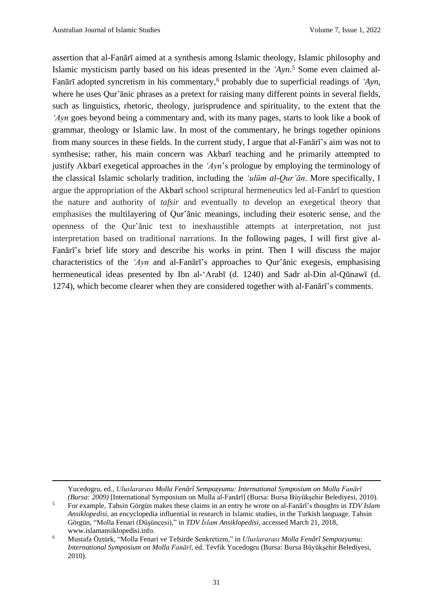assertion that al-Fanārī aimed at a synthesis among Islamic theology, Islamic philosophy and Islamic mysticism partly based on his ideas presented in the *'Ayn*. <sup>5</sup> Some even claimed al-Fanārī adopted syncretism in his commentary,<sup>6</sup> probably due to superficial readings of *'Ayn*, where he uses Our'anic phrases as a pretext for raising many different points in several fields, such as linguistics, rhetoric, theology, jurisprudence and spirituality, to the extent that the *'Ayn* goes beyond being a commentary and, with its many pages, starts to look like a book of grammar, theology or Islamic law. In most of the commentary, he brings together opinions from many sources in these fields. In the current study, I argue that al-Fanārī's aim was not to synthesise; rather, his main concern was Akbarī teaching and he primarily attempted to justify Akbarī exegetical approaches in the *'Ayn*'s prologue by employing the terminology of the classical Islamic scholarly tradition, including the *'ulūm al-Qur'ān*. More specifically, I argue the appropriation of the Akbarī school scriptural hermeneutics led al-Fanārī to question the nature and authority of *tafsir* and eventually to develop an exegetical theory that emphasises the multilayering of Qur'ānic meanings, including their esoteric sense, and the openness of the Qur'ānic text to inexhaustible attempts at interpretation, not just interpretation based on traditional narrations. In the following pages, I will first give al-Fanārī's brief life story and describe his works in print. Then I will discuss the major characteristics of the *'Ayn* and al-Fanārī's approaches to Qur'ānic exegesis, emphasising hermeneutical ideas presented by Ibn al-'Arabī (d. 1240) and Sadr al-Din al-Qūnawī (d. 1274), which become clearer when they are considered together with al-Fanārī's comments.

Yucedogru, ed., *Uluslararası Molla Fenârî Sempozyumu: International Symposium on Molla Fanārī (Bursa: 2009)* [International Symposium on Mulla al-Fanārī] (Bursa: Bursa Büyükşehir Belediyesi, 2010).

<sup>5</sup> For example, Tahsin Görgün makes these claims in an entry he wrote on al-Fanārī's thoughts in *TDV Islam Ansiklopedisi*, an encyclopedia influential in research in Islamic studies, in the Turkish language. Tahsin Görgün, "Molla Fenari (Düşüncesi)," in *TDV İslam Ansiklopedisi*, accessed March 21, 2018, www.islamansiklopedisi.info.

<sup>6</sup> Mustafa Öztürk, "Molla Fenari ve Tefsirde Senkretizm," in *Uluslararası Molla Fenârî Sempozyumu: International Symposium on Molla Fanārī*, ed. Tevfik Yucedogru (Bursa: Bursa Büyükşehir Belediyesi, 2010).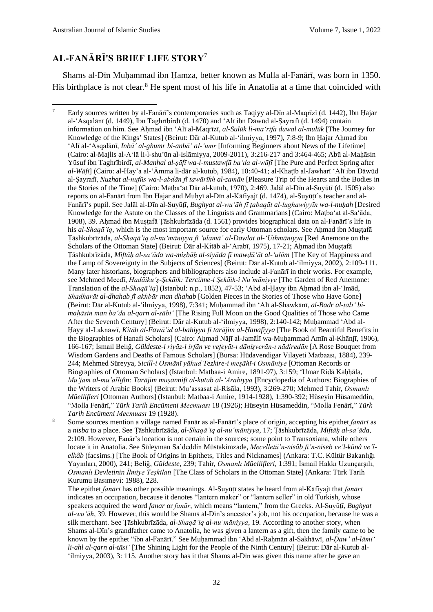# **AL-FANĀRĪ'S BRIEF LIFE STORY**<sup>7</sup>

Shams al-Dīn Muḥammad ibn Ḥamza, better known as Mulla al-Fanārī, was born in 1350. His birthplace is not clear.<sup>8</sup> He spent most of his life in Anatolia at a time that coincided with

<sup>8</sup> Some sources mention a village named Fanār as al-Fanārī's place of origin, accepting his epithet *fanārī* as a *nisba* to a place. See Ṭāshkubrīzāda, *al-Shaqā'iq al-nu'māniyya*, 17; Ṭāshkubrīzāda, *Miftāḥ al-saʻāda*, 2:109. However, Fanār's location is not certain in the sources; some point to Transoxiana, while others locate it in Anatolia. See Süleyman Sa'deddin Müstakimzade, *Mecelletü'n-nisâb fi'n-niseb ve'l-künâ ve'lelkâb* (facsims.) [The Book of Origins in Epithets, Titles and Nicknames] (Ankara: T.C. Kültür Bakanlığı Yayınları, 2000), 241; Beliğ, *Güldeste*, 239; Tahir, *Osmanlı Müellifleri*, 1:391; İsmail Hakkı Uzunçarşılı, *Osmanlı Devletinin İlmiye Teşkilatı* [The Class of Scholars in the Ottoman State] (Ankara: Türk Tarih Kurumu Basımevi: 1988), 228.

The epithet *fanārī* has other possible meanings. Al-Suyūṭī states he heard from al-Kāfiyajī that *fanārī* indicates an occupation, because it denotes "lantern maker" or "lantern seller" in old Turkish, whose speakers acquired the word *fanar* or *fanār*, which means "lantern," from the Greeks. Al-Suyūṭī, *Bughyat al-wu'āh*, 39. However, this would be Shams al-Dīn's ancestor's job, not his occupation, because he was a silk merchant. See Ṭāshkubrīzāda, *al-Shaqā'iq al-nu'māniyya*, 19. According to another story, when Shams al-Dīn's grandfather came to Anatolia, he was given a lantern as a gift, then the family came to be known by the epithet "ibn al-Fanārī." See Muḥammad ibn ʻAbd al-Raḥmān al-Sakhāwī, *al-Ḍaw' al-lāmiʻ li-ahl al-qarn al-tāsiʻ* [The Shining Light for the People of the Ninth Century] (Beirut: Dār al-Kutub al-ʻilmiyya, 2003), 3: 115. Another story has it that Shams al-Dīn was given this name after he gave an

<sup>7</sup> Early sources written by al-Fanārī's contemporaries such as Taqiyy al-Dīn al-Maqrīzī (d. 1442), Ibn Ḥajar al-'Asqalānī (d. 1449), Ibn Taghrībirdī (d. 1470) and 'Alī ibn Dāwūd al-Ṣayrafī (d. 1494) contain information on him. See Aḥmad ibn ʻAlī al-Maqrīzī, *al-Sulūk li-maʻrifa duwal al-mulūk* [The Journey for Knowledge of the Kings' States] (Beirut: Dār al-Kutub al-ʻilmiyya, 1997), 7:8-9; Ibn Ḥajar Aḥmad ibn ʻAlī al-ʻAsqalānī, *Inbā' al-ghumr bi-anbā' al-ʻumr* [Informing Beginners about News of the Lifetime] (Cairo: al-Majlis al-Aʻlā li-l-shu'ūn al-Islāmiyya, 2009-2011), 3:216-217 and 3:464-465; Abū al-Maḥāsin Yūsuf ibn Taghrībirdī, *al-Manhal al-ṣāfī wa-l-mustawfā baʻda al-wāfī* [The Pure and Perfect Spring after *al-Wāfī*] (Cairo: al-Hay'a al-ʻĀmma li-dār al-kutub, 1984), 10:40-41; al-Khaṭīb al-Jawharī 'Alī ibn Dāwūd al-Ṣayrafī, *Nuzhat al-nufūs wa-l-abdān fī tawārīkh al-zamān* [Pleasure Trip of the Hearts and the Bodies in the Stories of the Time] (Cairo: Maṭba'at Dār al-kutub, 1970), 2:469. Jalāl al-Dīn al-Suyūṭī (d. 1505) also reports on al-Fanārī from Ibn Hajar and Muhyī al-Dīn al-Kāfiyajī (d. 1474), al-Suyūtī's teacher and al-Fanārī's pupil. See Jalāl al-Dīn al-Suyūṭī, *Bughyat al-wu'āh fī ṭabaqāt al-lughawiyyīn wa-l-nuḥah* [Desired Knowledge for the Astute on the Classes of the Linguists and Grammarians] (Cairo: Maṭbaʻat al-Saʻāda, 1908), 39. Aḥmad ibn Muṣṭafā Ṭāshkubrīzāda (d. 1561) provides biographical data on al-Fanārī's life in his *al-Shaqā'iq*, which is the most important source for early Ottoman scholars. See Ahmad ibn Muṣṭafā Ṭāshkubrīzāda, *al-Shaqā'iq al-nu'māniyya fī 'ulamā' al-Dawlat al-'Uthmāniyya* [Red Anemone on the Scholars of the Ottoman State] (Beirut: Dār al-Kitāb al-'Arabī, 1975), 17-21; Ahmad ibn Mustafā Ṭāshkubrīzāda, *Miftāḥ al-saʻāda wa-miṣbāḥ al-siyāda fī mawḍūʻāt al-ʻulūm* [The Key of Happiness and the Lamp of Sovereignty in the Subjects of Sciences] (Beirut: Dār al-Kutub al-'ilmiyya, 2002), 2:109-111. Many later historians, biographers and bibliographers also include al-Fanārī in their works. For example, see Mehmed Mecdī, *Hadāiku'ş-Şekāik: Tercüme-i Şekāik-i Nu'māniyye* [The Garden of Red Anemone: Translation of the *al-Shaqā'iq*] (Istanbul: n.p., 1852), 47-53; 'Abd al-Ḥayy ibn Aḥmad ibn al-'Imād, *Shadharāt al-dhahab fī akhbār man dhahab* [Golden Pieces in the Stories of Those who Have Gone] (Beirut: Dār al-Kutub al-ʻilmiyya, 1998), 7:341; Muḥammad ibn 'Alī al-Shawkānī, *al-Badr al-ṭāli' bimaḥāsin man ba'da al-qarn al-sābi'* [The Rising Full Moon on the Good Qualities of Those who Came After the Seventh Century] (Beirut: Dār al-Kutub al-ʻilmiyya, 1998), 2:140-142; Muḥammad ʻAbd al-Ḥayy al-Laknawī, *Kitāb al-Fawā'id al-bahiyya fī tarājim al-Ḥanafiyya* [The Book of Beautiful Benefits in the Biographies of Hanafi Scholars] (Cairo: Ahmad Nājī al-Jamālī wa-Muhammad Amīn al-Khānjī, 1906), 166-167; İsmail Beliğ, *Güldeste-i riyāz-i irfān ve vefeyāt-ı dānişverān-ı nādiredān* [A Rose Bouquet from Wisdom Gardens and Deaths of Famous Scholars] (Bursa: Hüdavendigar Vilayeti Matbaası, 1884), 239- 244; Mehmed Süreyya, *Sicill-i Osmānī yāhud Tezkire-i meşāhī-i Osmāniye* [Ottoman Records or Biographies of Ottoman Scholars] (Istanbul: Matbaa-i Amire, 1891-97), 3:159; ʻUmar Riḍā Kaḥḥāla, *Muʻjam al-mu'allifīn: Tarājim muṣannifī al-kutub al-ʻArabiyya* [Encyclopedia of Authors: Biographies of the Writers of Arabic Books] (Beirut: Mu'assasat al-Risāla, 1993), 3:269-270; Mehmed Tahir, *Osmanlı Müellifleri* [Ottoman Authors] (Istanbul: Matbaa-i Amire, 1914-1928), 1:390-392; Hüseyin Hüsameddin, "Molla Fenârî," *Türk Tarih Encümeni Mecmuası* 18 (1926); Hüseyin Hüsameddin, "Molla Fenârî," *Türk Tarih Encümeni Mecmuası* 19 (1928).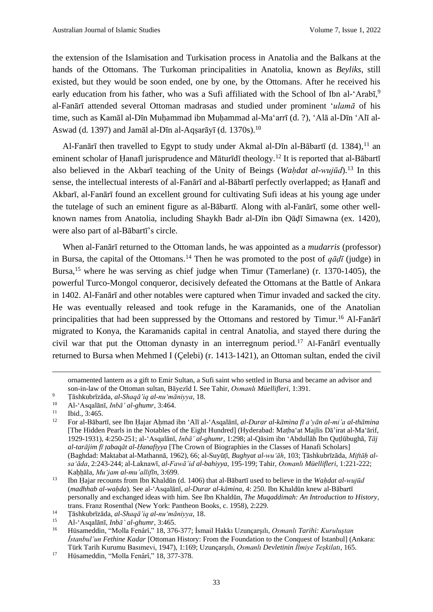the extension of the Islamisation and Turkisation process in Anatolia and the Balkans at the hands of the Ottomans. The Turkoman principalities in Anatolia, known as *Beyliks*, still existed, but they would be soon ended, one by one, by the Ottomans. After he received his early education from his father, who was a Sufi affiliated with the School of Ibn al-'Arabī,<sup>9</sup> al-Fanārī attended several Ottoman madrasas and studied under prominent '*ulamā* of his time, such as Kamāl al-Dīn Muḥammad ibn Muḥammad al-Ma'arrī (d. ?), 'Alā al-Dīn 'Alī al-Aswad (d. 1397) and Jamāl al-Dīn al-Aqsarāyī (d. 1370s).<sup>10</sup>

Al-Fanārī then travelled to Egypt to study under Akmal al-Dīn al-Bābartī (d. 1384).<sup>11</sup> an eminent scholar of Hanafī jurisprudence and Māturīdī theology.<sup>12</sup> It is reported that al-Bābartī also believed in the Akbarī teaching of the Unity of Beings (*Waḥdat al-wujūd*).<sup>13</sup> In this sense, the intellectual interests of al-Fanārī and al-Bābartī perfectly overlapped; as Ḥanafī and Akbarī, al-Fanārī found an excellent ground for cultivating Sufi ideas at his young age under the tutelage of such an eminent figure as al-Bābartī. Along with al-Fanārī, some other wellknown names from Anatolia, including Shaykh Badr al-Dīn ibn Qāḍī Simawna (ex. 1420), were also part of al-Bābartī's circle.

When al-Fanārī returned to the Ottoman lands, he was appointed as a *mudarris* (professor) in Bursa, the capital of the Ottomans.<sup>14</sup> Then he was promoted to the post of  $q\bar{q}d\bar{l}$  (judge) in Bursa, <sup>15</sup> where he was serving as chief judge when Timur (Tamerlane) (r. 1370-1405), the powerful Turco-Mongol conqueror, decisively defeated the Ottomans at the Battle of Ankara in 1402. Al-Fanārī and other notables were captured when Timur invaded and sacked the city. He was eventually released and took refuge in the Karamanids, one of the Anatolian principalities that had been suppressed by the Ottomans and restored by Timur.<sup>16</sup> Al-Fanārī migrated to Konya, the Karamanids capital in central Anatolia, and stayed there during the civil war that put the Ottoman dynasty in an interregnum period.<sup>17</sup> Al-Fan $\bar{a}r\bar{i}$  eventually returned to Bursa when Mehmed I (Çelebi) (r. 1413-1421), an Ottoman sultan, ended the civil

ornamented lantern as a gift to Emir Sultan, a Sufi saint who settled in Bursa and became an advisor and son-in-law of the Ottoman sultan, Bāyezīd I. See Tahir, *Osmanlı Müellifleri*, 1:391.

<sup>9</sup> Ṭāshkubrīzāda, *al-Shaqā'iq al-nu'māniyya*, 18.

<sup>10</sup> Al-'Asqalānī, *Inbā' al-ghumr*, 3:464.

 $\frac{11}{12}$  Ibid., 3:465.

<sup>12</sup> For al-Bābartī, see Ibn Ḥajar Aḥmad ibn ʻAlī al-'Asqalānī, *al-Durar al-kāmina fī aʻyān al-mi'a al-thāmina* [The Hidden Pearls in the Notables of the Eight Hundred] (Hyderabad: Maṭbaʻat Majlis Dā'irat al-Maʻārif, 1929-1931), 4:250-251; al-'Asqalānī, *Inbā' al-ghumr*, 1:298; al-Qāsim ibn ʻAbdullāh Ibn Quṭlūbughā, *Tāj al-tarājim fī ṭabaqāt al-Ḥanafiyya* [The Crown of Biographies in the Classes of Hanafi Scholars] (Baghdad: Maktabat al-Mathannā, 1962), 66; al-Suyūṭī, *Bughyat al-wu'āh*, 103; Ṭāshkubrīzāda, *Miftāḥ alsa'āda*, 2:243-244; al-Laknawī, *al-Fawā'id al-bahiyya*, 195-199; Tahir, *Osmanlı Müellifleri*, 1:221-222; Kaḥḥāla, *Muʻjam al-mu'allifīn*, 3:699.

<sup>13</sup> Ibn Ḥajar recounts from Ibn Khaldūn (d. 1406) that al-Bābartī used to believe in the *Waḥdat al-wujūd* (*madhhab al-waḥda*). See al-'Asqalānī, *al-Durar al-kāmina*, 4: 250. Ibn Khaldūn knew al-Bābartī personally and exchanged ideas with him. See Ibn Khaldūn, *The Muqaddimah: An Introduction to History*, trans. Franz Rosenthal (New York: Pantheon Books, c. 1958), 2:229.

<sup>14</sup> Ṭāshkubrīzāda, *al-Shaqā'iq al-nu'māniyya*, 18.

<sup>15</sup> Al-'Asqalānī, *Inbā' al-ghumr*, 3:465.

<sup>16</sup> Hüsameddin, "Molla Fenârî," 18, 376-377; İsmail Hakkı Uzunçarşılı, *Osmanlı Tarihi: Kuruluştan İstanbul'un Fethine Kadar* [Ottoman History: From the Foundation to the Conquest of Istanbul] (Ankara: Türk Tarih Kurumu Basımevi, 1947), 1:169; Uzunçarşılı, *Osmanlı Devletinin İlmiye Teşkilatı*, 165.

<sup>17</sup> Hüsameddin, "Molla Fenârî," 18, 377-378.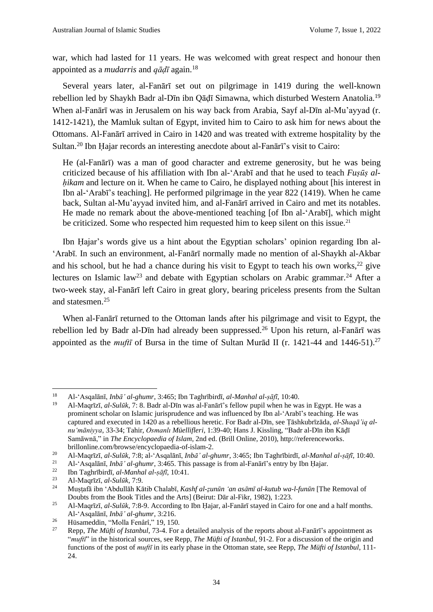war, which had lasted for 11 years. He was welcomed with great respect and honour then appointed as a *mudarris* and *qāḍī* again.<sup>18</sup>

Several years later, al-Fanārī set out on pilgrimage in 1419 during the well-known rebellion led by Shaykh Badr al-Dīn ibn Qādī Simawna, which disturbed Western Anatolia.<sup>19</sup> When al-Fanārī was in Jerusalem on his way back from Arabia, Sayf al-Dīn al-Mu'ayyad (r. 1412-1421), the Mamluk sultan of Egypt, invited him to Cairo to ask him for news about the Ottomans. Al-Fanārī arrived in Cairo in 1420 and was treated with extreme hospitality by the Sultan.<sup>20</sup> Ibn Ḥajar records an interesting anecdote about al-Fanārī's visit to Cairo:

He (al-Fanārī) was a man of good character and extreme generosity, but he was being criticized because of his affiliation with Ibn al-'Arabī and that he used to teach *Fuṣūṣ alhikam* and lecture on it. When he came to Cairo, he displayed nothing about [his interest in Ibn al-'Arabī's teaching]. He performed pilgrimage in the year 822 (1419). When he came back, Sultan al-Mu'ayyad invited him, and al-Fanārī arrived in Cairo and met its notables. He made no remark about the above-mentioned teaching [of Ibn al-'Arabī], which might be criticized. Some who respected him requested him to keep silent on this issue.<sup>21</sup>

Ibn Ḥajar's words give us a hint about the Egyptian scholars' opinion regarding Ibn al- 'Arabī. In such an environment, al-Fanārī normally made no mention of al-Shaykh al-Akbar and his school, but he had a chance during his visit to Egypt to teach his own works,  $22$  give lectures on Islamic law<sup>23</sup> and debate with Egyptian scholars on Arabic grammar.<sup>24</sup> After a two-week stay, al-Fanārī left Cairo in great glory, bearing priceless presents from the Sultan and statesmen.<sup>25</sup>

When al-Fanārī returned to the Ottoman lands after his pilgrimage and visit to Egypt, the rebellion led by Badr al-Dīn had already been suppressed.<sup>26</sup> Upon his return, al-Fanārī was appointed as the *muft*<sub>i</sub> of Bursa in the time of Sultan Murad II (r. 1421-44 and 1446-51).<sup>27</sup>

<sup>18</sup> Al-'Asqalānī, *Inbā' al-ghumr*, 3:465; Ibn Taghrībirdī, *al-Manhal al-ṣāfī*, 10:40.

<sup>19</sup> Al-Maqrīzī, *al-Sulūk*, 7: 8. Badr al-Dīn was al-Fanārī's fellow pupil when he was in Egypt. He was a prominent scholar on Islamic jurisprudence and was influenced by Ibn al-'Arabī's teaching. He was captured and executed in 1420 as a rebellious heretic. For Badr al-Dīn, see Ṭāshkubrīzāda, *al-Shaqā'iq alnu'māniyya*, 33-34; Tahir, *Osmanlı Müellifleri*, 1:39-40; Hans J. Kissling, "Badr al-Dīn ibn Kāḍī Samāwnā," in *The Encyclopaedia of Islam*, 2nd ed. (Brill Online, 2010), http://referenceworks. brillonline.com/browse/encyclopaedia-of-islam-2.

<sup>20</sup> Al-Maqrīzī, *al-Sulūk*, 7:8; al-'Asqalānī, *Inbā' al-ghumr*, 3:465; Ibn Taghrībirdī, *al-Manhal al-ṣāfī*, 10:40.

<sup>21</sup> Al-'Asqalānī, *Inbā' al-ghumr*, 3:465. This passage is from al-Fanārī's entry by Ibn Ḥajar.

<sup>22</sup> Ibn Taghrībirdī, *al-Manhal al-ṣāfī*, 10:41.

<sup>23</sup> Al-Maqrīzī, *al-Sulūk*, 7:9.

<sup>24</sup> Muṣṭafā ibn 'Abdullāh Kātib Chalabī, *Kashf al-ẓunūn ʻan asāmī al-kutub wa-l-funūn* [The Removal of Doubts from the Book Titles and the Arts] (Beirut: Dār al-Fikr, 1982), 1:223.

<sup>25</sup> Al-Maqrīzī, *al-Sulūk*, 7:8-9. According to Ibn Ḥajar, al-Fanārī stayed in Cairo for one and a half months. Al-'Asqalānī, *Inbā' al-ghumr*, 3:216.

<sup>&</sup>lt;sup>26</sup> Hüsameddin, "Molla Fenârî," 19, 150.<br><sup>27</sup> Penn. *The Müfti of Istanbul*, 73, 4 For

<sup>27</sup> Repp, *The Müfti of Istanbul*, 73-4. For a detailed analysis of the reports about al-Fanārī's appointment as "*muftī*" in the historical sources, see Repp, *The Müfti of Istanbul*, 91-2. For a discussion of the origin and functions of the post of *muftī* in its early phase in the Ottoman state, see Repp, *The Müfti of Istanbul*, 111- 24.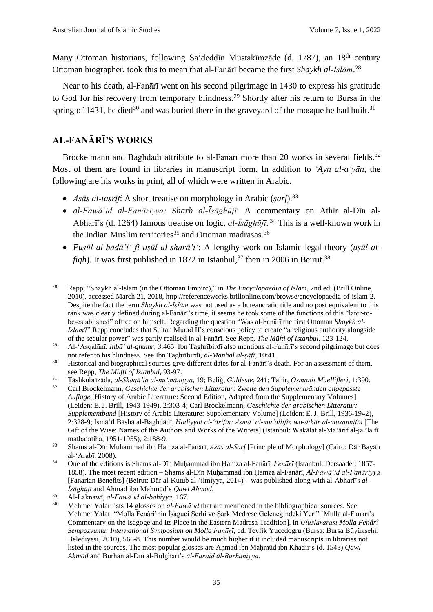Many Ottoman historians, following Sa'dedd<del>i</del>n Müstakimzade (d. 1787), an 18<sup>th</sup> century Ottoman biographer, took this to mean that al-Fanārī became the first *Shaykh al-Islām*. 28

Near to his death, al-Fanārī went on his second pilgrimage in 1430 to express his gratitude to God for his recovery from temporary blindness.<sup>29</sup> Shortly after his return to Bursa in the spring of 1431, he died<sup>30</sup> and was buried there in the graveyard of the mosque he had built.<sup>31</sup>

## **AL-FANĀRĪ'S WORKS**

Brockelmann and Baghdādī attribute to al-Fanārī more than 20 works in several fields.<sup>32</sup> Most of them are found in libraries in manuscript form. In addition to *'Ayn al-a'yān*, the following are his works in print, all of which were written in Arabic.

- *Asās al-taṣrīf*: A short treatise on morphology in Arabic (*ṣarf*).<sup>33</sup>
- *al-Fawā'id al-Fanāriyya: Sharh al-Īsāghūjī*: A commentary on Athīr al-Dīn al-Abharī's (d. 1264) famous treatise on logic, *al-Īsāghūjī*. <sup>34</sup> This is a well-known work in the Indian Muslim territories<sup>35</sup> and Ottoman madrasas.<sup>36</sup>
- *Fuṣūl al-badā'i' fī uṣūl al-sharā'i'*: A lengthy work on Islamic legal theory (*uṣūl al* $figh$ ). It was first published in 1872 in Istanbul,<sup>37</sup> then in 2006 in Beirut.<sup>38</sup>

<sup>28</sup> Repp, "Shaykh al-Islam (in the Ottoman Empire)," in *The Encyclopaedia of Islam*, 2nd ed. (Brill Online, 2010), accessed March 21, 2018, http://referenceworks.brillonline.com/browse/encyclopaedia-of-islam-2. Despite the fact the term *Shaykh al-Islām* was not used as a bureaucratic title and no post equivalent to this rank was clearly defined during al-Fanārī's time, it seems he took some of the functions of this "later-tobe-established" office on himself. Regarding the question "Was al-Fanārī the first Ottoman *Shaykh al-Islām*?" Repp concludes that Sultan Murād II's conscious policy to create "a religious authority alongside of the secular power" was partly realised in al-Fanārī. See Repp, *The Müfti of Istanbul*, 123-124.

<sup>29</sup> Al-'Asqalānī, *Inbā' al-ghumr*, 3:465. Ibn Taghrībirdī also mentions al-Fanārī's second pilgrimage but does not refer to his blindness. See Ibn Taghrībirdī, *al-Manhal al-ṣāfī*, 10:41.

<sup>&</sup>lt;sup>30</sup> Historical and biographical sources give different dates for al-Fanārī's death. For an assessment of them, see Repp, *The Müfti of Istanbul*, 93-97.

<sup>31</sup> Ṭāshkubrīzāda, *al-Shaqā'iq al-nu'māniyya*, 19; Beliğ, *Güldeste*, 241; Tahir, *Osmanlı Müellifleri*, 1:390.

<sup>32</sup> Carl Brockelmann, *Geschichte der arabischen Litteratur: Zweite den Supplementbänden angepasste Auflage* [History of Arabic Literature: Second Edition, Adapted from the Supplementary Volumes] (Leiden: E. J. Brill, 1943-1949), 2:303-4; Carl Brockelmann, *Geschichte der arabischen Litteratur: Supplementband* [History of Arabic Literature: Supplementary Volume] (Leiden: E. J. Brill, 1936-1942), 2:328-9; Ismā'īl Bāshā al-Baghdādī, *Hadiyyat al-'ārifīn: Asmā' al-mu'allifīn wa-āthār al-muṣannifīn* [The Gift of the Wise: Names of the Authors and Works of the Writers] (Istanbul: Wakālat al-Maʻārif al-jalīla fī maṭbaʻatihā, 1951-1955), 2:188-9.

<sup>33</sup> Shams al-Dīn Muḥammad ibn Ḥamza al-Fanārī, *Asās al-Ṣarf* [Principle of Morphology] (Cairo: Dār Bayān al-'Arabī, 2008).

<sup>34</sup> One of the editions is Shams al-Dīn Muḥammad ibn Ḥamza al-Fanārī, *Fenārī* (Istanbul: Dersaadet: 1857- 1858). The most recent edition – Shams al-Dīn Muḥammad ibn Ḥamza al-Fanārī, *Al-Fawā'id al-Fanāriyya* [Fanarian Benefits] (Beirut: Dār al-Kutub al-'ilmiyya, 2014) – was published along with al-Abharī's *al-Īsāghūjī* and Aḥmad ibn Maḥmūd's *Qawl Aḥmad*.

<sup>35</sup> Al-Laknawī, *al-Fawā'id al-bahiyya*, 167.

<sup>36</sup> Mehmet Yalar lists 14 glosses on *al-Fawā'id* that are mentioned in the bibliographical sources. See Mehmet Yalar, "Molla Fenârî'nin İsâgucî Şerhi ve Şark Medrese Geleneğindeki Yeri" [Mulla al-Fanārī's Commentary on the Isagoge and Its Place in the Eastern Madrasa Tradition], in *Uluslararası Molla Fenârî Sempozyumu: International Symposium on Molla Fanārī*, ed. Tevfik Yucedogru (Bursa: Bursa Büyükşehir Belediyesi, 2010), 566-8. This number would be much higher if it included manuscripts in libraries not listed in the sources. The most popular glosses are Aḥmad ibn Maḥmūd ibn Khadir's (d. 1543) *Qawl Aḥmad* and Burhān al-Dīn al-Bulghārī's *al-Farāid al-Burhāniyya*.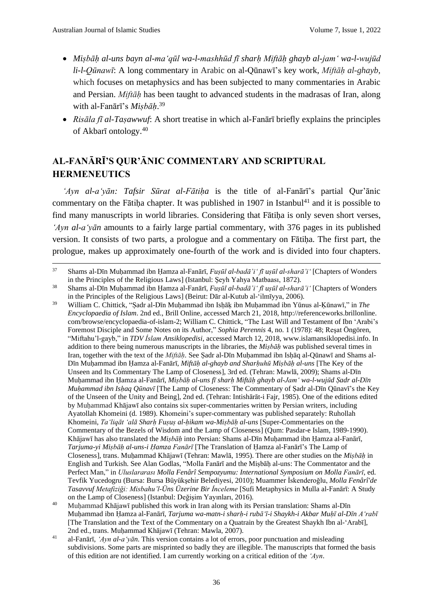- *Miṣbāḥ al-uns bayn al-ma'qūl wa-l-mashhūd fī sharḥ Miftāḥ ghayb al-jam' wa-l-wujūd li-l-Qūnawī*: A long commentary in Arabic on al-Qūnawī's key work, *Miftāḥ al-ghayb*, which focuses on metaphysics and has been subjected to many commentaries in Arabic and Persian. *Miftāḥ* has been taught to advanced students in the madrasas of Iran, along with al-Fanārī's *Miṣbāḥ*. 39
- *Risāla fī al-Taṣawwuf*: A short treatise in which al-Fanārī briefly explains the principles of Akbarī ontology.<sup>40</sup>

# **AL-FANĀRĪ'S QUR'ĀNIC COMMENTARY AND SCRIPTURAL HERMENEUTICS**

*'Ayn al-a'yān: Tafsir Sūrat al-Fātiḥa* is the title of al-Fanārī's partial Qur'ānic commentary on the Fātiha chapter. It was published in 1907 in Istanbul<sup>41</sup> and it is possible to find many manuscripts in world libraries. Considering that Fātiha is only seven short verses, *'Ayn al-a'yān* amounts to a fairly large partial commentary, with 376 pages in its published version. It consists of two parts, a prologue and a commentary on Fātiha. The first part, the prologue, makes up approximately one-fourth of the work and is divided into four chapters.

<sup>37</sup> Shams al-Dīn Muḥammad ibn Ḥamza al-Fanārī, *Fuṣūl al-badā'i' fī uṣūl al-sharā'i'* [Chapters of Wonders in the Principles of the Religious Laws] (Istanbul: Şeyh Yahya Matbaası, 1872).

<sup>38</sup> Shams al-Dīn Muḥammad ibn Ḥamza al-Fanārī, *Fuṣūl al-badā'i' fī uṣūl al-sharā'i'* [Chapters of Wonders in the Principles of the Religious Laws] (Beirut: Dār al-Kutub al-'ilmīyya, 2006).

<sup>39</sup> William C. Chittick, "Ṣadr al-Dīn Muḥammad ibn Isḥāḳ ibn Muḥammad ibn Yūnus al-Ḳūnawī," in *The Encyclopaedia of Islam*. 2nd ed., Brill Online, accessed March 21, 2018, http://referenceworks.brillonline. com/browse/encyclopaedia-of-islam-2; William C. Chittick, "The Last Will and Testament of Ibn 'Arabi's Foremost Disciple and Some Notes on its Author," *Sophia Perennis* 4, no. 1 (1978): 48; Reşat Öngören, "Miftahu'l-gayb," in *TDV İslam Ansiklopedisi*, accessed March 12, 2018, www.islamansiklopedisi.info. In addition to there being numerous manuscripts in the libraries, the *Miṣbāḥ* was published several times in Iran, together with the text of the *Miftāḥ*. See Ṣadr al-Dīn Muḥammad ibn Isḥāq al-Qūnawī and Shams al-Dīn Muḥammad ibn Ḥamza al-Fanārī, *Miftāḥ al-ghayb and Sharḥuhū Miṣbāḥ al-uns* [The Key of the Unseen and Its Commentary The Lamp of Closeness], 3rd ed. (Tehran: Mawlā, 2009); Shams al-Dīn Muḥammad ibn Ḥamza al-Fanārī, *Miṣbāḥ al-uns fī sharḥ Miftāḥ ghayb al-Jamʻ wa-l-wujūd Ṣadr al-Dīn Muḥammad ibn Isḥaq Qūnavī* [The Lamp of Closeness: The Commentary of Ṣadr al-Dīn Qūnavī's the Key of the Unseen of the Unity and Being], 2nd ed. (Tehran: Intishārāt-i Fajr, 1985). One of the editions edited by Muhammad Khājawī also contains six super-commentaries written by Persian writers, including Ayatollah Khomeini (d. 1989). Khomeini's super-commentary was published separately: Ruhollah Khomeini, *Ta'liqāt 'alā Sharḥ Fuṣuṣ al-ḥikam wa-Miṣbāḥ al-uns* [Super-Commentaries on the Commentary of the Bezels of Wisdom and the Lamp of Closeness] (Qum: Pasdar-e Islam, 1989-1990). Khājawī has also translated the *Miṣbāḥ* into Persian: Shams al-Dīn Muḥammad ibn Ḥamza al-Fanārī, *Tarjuma-yi Miṣbāḥ al-uns-i Ḥamza Fanārī* [The Translation of Ḥamza al-Fanārī's The Lamp of Closeness], trans. Muḥammad Khājawī (Tehran: Mawlā, 1995). There are other studies on the *Miṣbāḥ* in English and Turkish. See Alan Godlas, "Molla Fanārī and the Miṣbāḥ al-uns: The Commentator and the Perfect Man," in *Uluslararası Molla Fenârî Sempozyumu: International Symposium on Molla Fanārī*, ed. Tevfik Yucedogru (Bursa: Bursa Büyükşehir Belediyesi, 2010); Muammer İskenderoğlu, *Molla Fenârî'de Tasavvuf Metafiziği: Misbahu'l-Üns Üzerine Bir İnceleme* [Sufi Metaphysics in Mulla al-Fanārī: A Study on the Lamp of Closeness] (Istanbul: Değişim Yayınları, 2016).

<sup>&</sup>lt;sup>40</sup> Muhammad Khājawī published this work in Iran along with its Persian translation: Shams al-Dīn Muḥammad ibn Ḥamza al-Fanārī, *Tarjuma wa-matn-i sharḥ-i rubā'ī-i Shaykh-i Akbar Muḥī al-Dīn A'rabī* [The Translation and the Text of the Commentary on a Quatrain by the Greatest Shaykh Ibn al-'Arabī], 2nd ed., trans. Muhammad Khājawī (Tehran: Mawla, 2007).

<sup>41</sup> al-Fanārī, *'Ayn al-a'yān*. This version contains a lot of errors, poor punctuation and misleading subdivisions. Some parts are misprinted so badly they are illegible. The manuscripts that formed the basis of this edition are not identified. I am currently working on a critical edition of the *'Ayn*.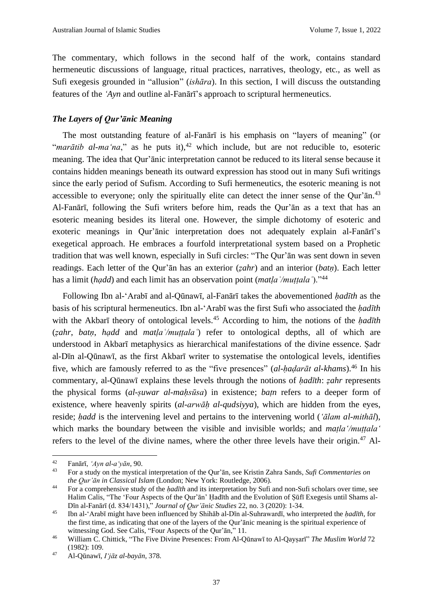The commentary, which follows in the second half of the work, contains standard hermeneutic discussions of language, ritual practices, narratives, theology, etc., as well as Sufi exegesis grounded in "allusion" (*ishāra*). In this section, I will discuss the outstanding features of the *'Ayn* and outline al-Fanārī's approach to scriptural hermeneutics.

#### *The Layers of Qur'ānic Meaning*

The most outstanding feature of al-Fanārī is his emphasis on "layers of meaning" (or "*marātib al-ma'na*," as he puts it),  $42$  which include, but are not reducible to, esoteric meaning. The idea that Qur'ānic interpretation cannot be reduced to its literal sense because it contains hidden meanings beneath its outward expression has stood out in many Sufi writings since the early period of Sufism. According to Sufi hermeneutics, the esoteric meaning is not accessible to everyone; only the spiritually elite can detect the inner sense of the Qur'ān.<sup>43</sup> Al-Fanārī, following the Sufi writers before him, reads the Qur'ān as a text that has an esoteric meaning besides its literal one. However, the simple dichotomy of esoteric and exoteric meanings in Qur'ānic interpretation does not adequately explain al-Fanārī's exegetical approach. He embraces a fourfold interpretational system based on a Prophetic tradition that was well known, especially in Sufi circles: "The Qur'ān was sent down in seven readings. Each letter of the Qur'ān has an exterior (*ẓahr*) and an interior (*batṇ*). Each letter has a limit (*hạdd*) and each limit has an observation point (*matḷaʿ/muṭṭalaʿ*)."<sup>44</sup>

Following Ibn al-'Arabī and al-Qūnawī, al-Fanārī takes the abovementioned *ḥadīth* as the basis of his scriptural hermeneutics. Ibn al-'Arabī was the first Sufi who associated the *ḥadīth* with the Akbarī theory of ontological levels.<sup>45</sup> According to him, the notions of the *ḥadīth* (*ẓahr*, *batṇ*, *hạdd* and *matḷaʿ/muṭṭalaʿ*) refer to ontological depths, all of which are understood in Akbarī metaphysics as hierarchical manifestations of the divine essence. Ṣadr al-Dīn al-Qūnawī, as the first Akbarī writer to systematise the ontological levels, identifies five, which are famously referred to as the "five presences" (*al-ḥaḍarāt al-khams*).<sup>46</sup> In his commentary, al-Qūnawī explains these levels through the notions of *ḥadīth*: *ẓahr* represents the physical forms (*al-ṣuwar al-maḥsūsa*) in existence; *baṭn* refers to a deeper form of existence, where heavenly spirits (*al-arwāḥ al-qudsiyya*), which are hidden from the eyes, reside; *ḥadd* is the intervening level and pertains to the intervening world (*'ālam al-mithāl*), which marks the boundary between the visible and invisible worlds; and *matla'/muttala'* refers to the level of the divine names, where the other three levels have their origin.<sup>47</sup> Al-

<sup>42</sup> Fanārī, *'Ayn al-a'yān*, 90.

<sup>43</sup> For a study on the mystical interpretation of the Qur'ān, see Kristin Zahra Sands, *Sufi Commentaries on the Qur'ān in Classical Islam* (London; New York: Routledge, 2006).

<sup>44</sup> For a comprehensive study of the *ḥadīth* and its interpretation by Sufi and non-Sufi scholars over time, see Halim Calis, "The 'Four Aspects of the Qur'ān' Ḥadīth and the Evolution of Ṣūfī Exegesis until Shams al-Dīn al-Fanārī (d. 834/1431)," *Journal of Qur'ānic Studies* 22, no. 3 (2020): 1-34.

<sup>45</sup> Ibn al-'Arabī might have been influenced by Shihāb al-Dīn al-Suhrawardī, who interpreted the *ḥadīth*, for the first time, as indicating that one of the layers of the Qur'ānic meaning is the spiritual experience of witnessing God. See Calis, "Four Aspects of the Qur'ān," 11.

<sup>46</sup> William C. Chittick, "The Five Divine Presences: From Al-Qūnawī to Al-Qayṣarī" *The Muslim World* 72 (1982): 109.

<sup>47</sup> Al-Qūnawī, *Iʻjāz al-bayān*, 378.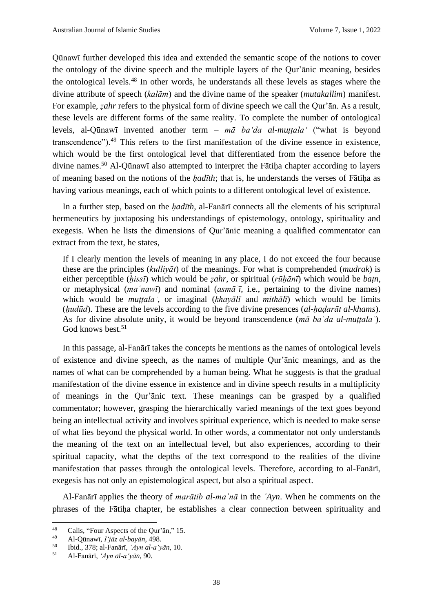Qūnawī further developed this idea and extended the semantic scope of the notions to cover the ontology of the divine speech and the multiple layers of the Qur'ānic meaning, besides the ontological levels.<sup>48</sup> In other words, he understands all these levels as stages where the divine attribute of speech (*kalām*) and the divine name of the speaker (*mutakallim*) manifest. For example, *ẓahr* refers to the physical form of divine speech we call the Qur'ān. As a result, these levels are different forms of the same reality. To complete the number of ontological levels, al-Qūnawī invented another term – *mā ba'da al-muṭṭala'* ("what is beyond transcendence").<sup>49</sup> This refers to the first manifestation of the divine essence in existence, which would be the first ontological level that differentiated from the essence before the divine names.<sup>50</sup> Al-Qūnawī also attempted to interpret the Fātiḥa chapter according to layers of meaning based on the notions of the *ḥadīth*; that is, he understands the verses of Fātiḥa as having various meanings, each of which points to a different ontological level of existence.

In a further step, based on the *ḥadīth*, al-Fanārī connects all the elements of his scriptural hermeneutics by juxtaposing his understandings of epistemology, ontology, spirituality and exegesis. When he lists the dimensions of Qur'ānic meaning a qualified commentator can extract from the text, he states,

If I clearly mention the levels of meaning in any place, I do not exceed the four because these are the principles (*kulliyāt*) of the meanings. For what is comprehended (*mudrak*) is either perceptible (*ḥissī*) which would be *ẓahr*, or spiritual (*rūḥānī*) which would be *baṭn*, or metaphysical (*maʿnawī*) and nominal (*asmāʾī*, i.e., pertaining to the divine names) which would be *muṭṭalaʿ*, or imaginal (*khayālī* and *mithālī*) which would be limits (*ḥudūd*). These are the levels according to the five divine presences (*al-ḥaḍarāt al-khams*). As for divine absolute unity, it would be beyond transcendence (*mā baʿda al-muṭṭalaʿ*). God knows best.<sup>51</sup>

In this passage, al-Fanārī takes the concepts he mentions as the names of ontological levels of existence and divine speech, as the names of multiple Qur'ānic meanings, and as the names of what can be comprehended by a human being. What he suggests is that the gradual manifestation of the divine essence in existence and in divine speech results in a multiplicity of meanings in the Qur'ānic text. These meanings can be grasped by a qualified commentator; however, grasping the hierarchically varied meanings of the text goes beyond being an intellectual activity and involves spiritual experience, which is needed to make sense of what lies beyond the physical world. In other words, a commentator not only understands the meaning of the text on an intellectual level, but also experiences, according to their spiritual capacity, what the depths of the text correspond to the realities of the divine manifestation that passes through the ontological levels. Therefore, according to al-Fanārī, exegesis has not only an epistemological aspect, but also a spiritual aspect.

Al-Fanārī applies the theory of *marātib al-maʿnā* in the *ʿAyn*. When he comments on the phrases of the Fātiḥa chapter, he establishes a clear connection between spirituality and

<sup>&</sup>lt;sup>48</sup> Calis, "Four Aspects of the Qur'ān," 15.

<sup>49</sup> Al-Qūnawī, *Iʻjāz al-bayān*, 498.

<sup>50</sup> Ibid., 378; al-Fanārī, *'Ayn al-a'yān*, 10.

<sup>51</sup> Al-Fanārī, *'Ayn al-a'yān*, 90.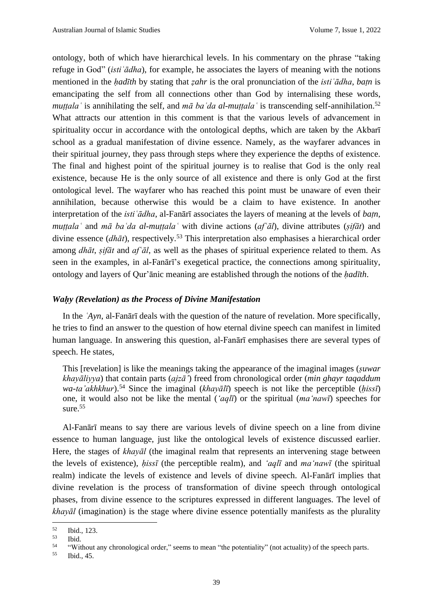ontology, both of which have hierarchical levels. In his commentary on the phrase "taking refuge in God" (*istiʿādha*), for example, he associates the layers of meaning with the notions mentioned in the *ḥadīth* by stating that *ẓahr* is the oral pronunciation of the *istiʿādha*, *baṭn* is emancipating the self from all connections other than God by internalising these words, *muttala* is annihilating the self, and  $m\bar{a}$  *ba da al-muttala* is transcending self-annihilation.<sup>52</sup> What attracts our attention in this comment is that the various levels of advancement in spirituality occur in accordance with the ontological depths, which are taken by the Akbarī school as a gradual manifestation of divine essence. Namely, as the wayfarer advances in their spiritual journey, they pass through steps where they experience the depths of existence. The final and highest point of the spiritual journey is to realise that God is the only real existence, because He is the only source of all existence and there is only God at the first ontological level. The wayfarer who has reached this point must be unaware of even their annihilation, because otherwise this would be a claim to have existence. In another interpretation of the *isti*  $\overline{a}$ *dha*, al-Fanārī associates the layers of meaning at the levels of *batn*, *muṭṭalaʿ* and *mā baʿda al-muṭṭalaʿ* with divine actions (*afʿāl*), divine attributes (*ṣifāt*) and divine essence (*dhāt*), respectively.<sup>53</sup> This interpretation also emphasises a hierarchical order among *dhāt*, *ṣifāt* and *afʿāl*, as well as the phases of spiritual experience related to them. As seen in the examples, in al-Fanārī's exegetical practice, the connections among spirituality, ontology and layers of Qur'ānic meaning are established through the notions of the *ḥadīth*.

#### *Waḥy (Revelation) as the Process of Divine Manifestation*

In the *ʿAyn*, al-Fanārī deals with the question of the nature of revelation. More specifically, he tries to find an answer to the question of how eternal divine speech can manifest in limited human language. In answering this question, al-Fanārī emphasises there are several types of speech. He states,

This [revelation] is like the meanings taking the appearance of the imaginal images (*ṣuwar khayāliyya*) that contain parts (*ajzā'*) freed from chronological order (*min ghayr taqaddum wa-ta'akhkhur*).<sup>54</sup> Since the imaginal (*khayālī*) speech is not like the perceptible (*ḥissī*) one, it would also not be like the mental (*'aqlī*) or the spiritual (*ma'nawī*) speeches for sure.<sup>55</sup>

Al-Fanārī means to say there are various levels of divine speech on a line from divine essence to human language, just like the ontological levels of existence discussed earlier. Here, the stages of *khayāl* (the imaginal realm that represents an intervening stage between the levels of existence), *ḥissī* (the perceptible realm), and *'aqlī* and *ma'nawī* (the spiritual realm) indicate the levels of existence and levels of divine speech. Al-Fanārī implies that divine revelation is the process of transformation of divine speech through ontological phases, from divine essence to the scriptures expressed in different languages. The level of *khayāl* (imagination) is the stage where divine essence potentially manifests as the plurality

 $\frac{52}{53}$  Ibid., 123.

<sup>53</sup> Ibid.

<sup>&</sup>lt;sup>54</sup> "Without any chronological order," seems to mean "the potentiality" (not actuality) of the speech parts.<br><sup>55</sup> Ibid  $\frac{45}{10}$ 

<sup>55</sup> Ibid., 45.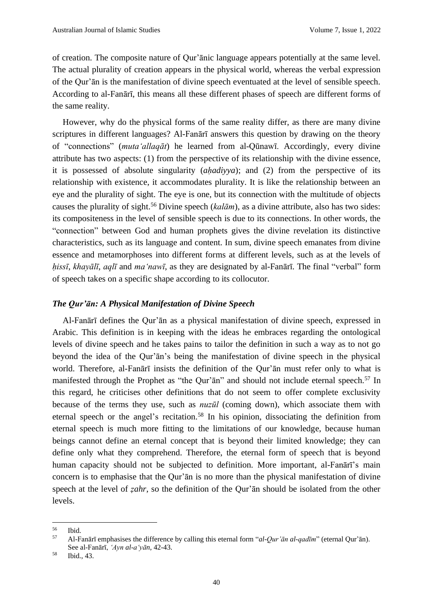of creation. The composite nature of Qur'ānic language appears potentially at the same level. The actual plurality of creation appears in the physical world, whereas the verbal expression of the Qur'ān is the manifestation of divine speech eventuated at the level of sensible speech. According to al-Fanārī, this means all these different phases of speech are different forms of the same reality.

However, why do the physical forms of the same reality differ, as there are many divine scriptures in different languages? Al-Fanārī answers this question by drawing on the theory of "connections" (*muta'allaqāt*) he learned from al-Qūnawī. Accordingly, every divine attribute has two aspects: (1) from the perspective of its relationship with the divine essence, it is possessed of absolute singularity (*aḥadiyya*); and (2) from the perspective of its relationship with existence, it accommodates plurality. It is like the relationship between an eye and the plurality of sight. The eye is one, but its connection with the multitude of objects causes the plurality of sight.<sup>56</sup> Divine speech (*kalām*), as a divine attribute, also has two sides: its compositeness in the level of sensible speech is due to its connections. In other words, the "connection" between God and human prophets gives the divine revelation its distinctive characteristics, such as its language and content. In sum, divine speech emanates from divine essence and metamorphoses into different forms at different levels, such as at the levels of *ḥissī*, *khayālī*, *aqlī* and *ma'nawī*, as they are designated by al-Fanārī. The final "verbal" form of speech takes on a specific shape according to its collocutor.

#### *The Qur'ān: A Physical Manifestation of Divine Speech*

Al-Fanārī defines the Qur'ān as a physical manifestation of divine speech, expressed in Arabic. This definition is in keeping with the ideas he embraces regarding the ontological levels of divine speech and he takes pains to tailor the definition in such a way as to not go beyond the idea of the Qur'ān's being the manifestation of divine speech in the physical world. Therefore, al-Fanārī insists the definition of the Qur'ān must refer only to what is manifested through the Prophet as "the Qur'an" and should not include eternal speech.<sup>57</sup> In this regard, he criticises other definitions that do not seem to offer complete exclusivity because of the terms they use, such as *nuzūl* (coming down), which associate them with eternal speech or the angel's recitation.<sup>58</sup> In his opinion, dissociating the definition from eternal speech is much more fitting to the limitations of our knowledge, because human beings cannot define an eternal concept that is beyond their limited knowledge; they can define only what they comprehend. Therefore, the eternal form of speech that is beyond human capacity should not be subjected to definition. More important, al-Fanārī's main concern is to emphasise that the Qur'ān is no more than the physical manifestation of divine speech at the level of *ẓahr*, so the definition of the Qur'ān should be isolated from the other levels.

 $rac{56}{57}$  Ibid.

<sup>57</sup> Al-Fanārī emphasises the difference by calling this eternal form "*al-Qur'ān al-qadīm*" (eternal Qur'ān). See al-Fanārī, *'Ayn al-a'yān*, 42-43.

<sup>58</sup> Ibid., 43.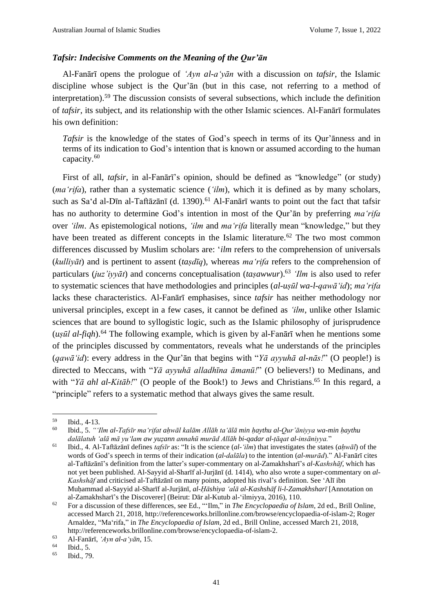#### *Tafsir: Indecisive Comments on the Meaning of the Qur'ān*

Al-Fanārī opens the prologue of *'Ayn al-a'yān* with a discussion on *tafsir*, the Islamic discipline whose subject is the Qur'ān (but in this case, not referring to a method of interpretation).<sup>59</sup> The discussion consists of several subsections, which include the definition of *tafsir*, its subject, and its relationship with the other Islamic sciences. Al-Fanārī formulates his own definition:

*Tafsir* is the knowledge of the states of God's speech in terms of its Qur'ānness and in terms of its indication to God's intention that is known or assumed according to the human capacity.<sup>60</sup>

First of all, *tafsir*, in al-Fanārī's opinion, should be defined as "knowledge" (or study) (*ma'rifa*), rather than a systematic science (*'ilm*), which it is defined as by many scholars, such as Sa'd al-Dīn al-Taftāzānī (d. 1390).<sup>61</sup> Al-Fanārī wants to point out the fact that tafsir has no authority to determine God's intention in most of the Qur'ān by preferring *ma'rifa* over *'ilm*. As epistemological notions, *'ilm* and *ma'rifa* literally mean "knowledge," but they have been treated as different concepts in the Islamic literature.<sup>62</sup> The two most common differences discussed by Muslim scholars are: '*ilm* refers to the comprehension of universals (*kulliyāt*) and is pertinent to assent (*taṣdīq*), whereas *ma'rifa* refers to the comprehension of particulars (*juz'iyyāt*) and concerns conceptualisation (*taṣawwur*).<sup>63</sup> *'Ilm* is also used to refer to systematic sciences that have methodologies and principles (*al-uṣūl wa-l-qawā'id*); *ma'rifa* lacks these characteristics. Al-Fanārī emphasises, since *tafsir* has neither methodology nor universal principles, except in a few cases, it cannot be defined as *'ilm*, unlike other Islamic sciences that are bound to syllogistic logic, such as the Islamic philosophy of jurisprudence (*uṣūl al-fiqh*).<sup>64</sup> The following example, which is given by al-Fanārī when he mentions some of the principles discussed by commentators, reveals what he understands of the principles (*qawā'id*): every address in the Qur'ān that begins with "*Yā ayyuhā al-nās!*" (O people!) is directed to Meccans, with "*Yā ayyuhā alladhīna āmanū!*" (O believers!) to Medinans, and with "*Yā ahl al-Kitāb!*" (O people of the Book!) to Jews and Christians.<sup>65</sup> In this regard, a "principle" refers to a systematic method that always gives the same result.

 $\begin{array}{ll}\n 59 \\
60 \\
\hline\n \text{Bid.} & \text{A-13.} \\
\end{array}$ 

<sup>60</sup> Ibid., 5. *"'Ilm al-Tafsīr ma'rifat aḥwāl kalām Allāh ta'ālā min ḥaythu al-Qur'āniyya wa-min ḥaythu dalālatuh 'alā mā yu'lam aw yuẓann annahū murād Allāh bi-qadar al-ṭāqat al-insāniyya.*"

<sup>61</sup> Ibid., 4. Al-Taftāzānī defines *tafsīr* as: "It is the science (*al-'ilm*) that investigates the states (*aḥwāl*) of the words of God's speech in terms of their indication (*al-dalāla*) to the intention (*al-murād*)." Al-Fanārī cites al-Taftāzānī's definition from the latter's super-commentary on al-Zamakhsharī's *al-Kashshāf*, which has not yet been published. Al-Sayyid al-Sharīf al-Jurjānī (d. 1414), who also wrote a super-commentary on *al-Kashshāf* and criticised al-Taftāzānī on many points, adopted his rival's definition. See ʻAlī ibn Muḥammad al-Sayyid al-Sharīf al-Jurjānī*, al-Ḥāshiya ʻalā al-Kashshāf li-l-Zamakhsharī* [Annotation on al-Zamakhsharī's the Discoverer] (Beirut: Dār al-Kutub al-ʻilmiyya, 2016), 110.

<sup>62</sup> For a discussion of these differences, see Ed., "'Ilm," in *The Encyclopaedia of Islam*, 2d ed., Brill Online, accessed March 21, 2018, http://referenceworks.brillonline.com/browse/encyclopaedia-of-islam-2; Roger Arnaldez, "Ma'rifa," in *The Encyclopaedia of Islam*, 2d ed., Brill Online, accessed March 21, 2018, http://referenceworks.brillonline.com/browse/encyclopaedia-of-islam-2.

<sup>63</sup> Al-Fanārī, *'Ayn al-a'yān*, 15.

 $^{64}$  Ibid., 5.<br> $^{65}$  Ibid. 79

Ibid., 79.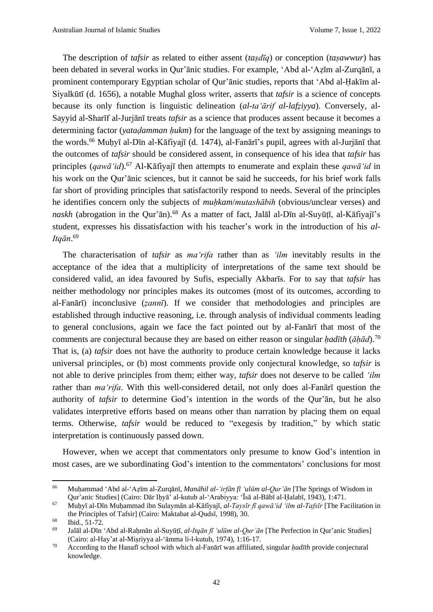The description of *tafsir* as related to either assent (*taṣdīq*) or conception (*taṣawwur*) has been debated in several works in Qur'ānic studies. For example, 'Abd al-'Aẓīm al-Zurqānī, a prominent contemporary Egyptian scholar of Qur'ānic studies, reports that 'Abd al-Ḥakīm al-Siyalkūtī (d. 1656), a notable Mughal gloss writer, asserts that *tafsir* is a science of concepts because its only function is linguistic delineation (*al-ta'ārif al-lafẓiyya*). Conversely, al-Sayyid al-Sharīf al-Jurjānī treats *tafsir* as a science that produces assent because it becomes a determining factor (*yataḍamman ḥukm*) for the language of the text by assigning meanings to the words.<sup>66</sup> Muḥyī al-Dīn al-Kāfiyajī (d. 1474), al-Fanārī's pupil, agrees with al-Jurjānī that the outcomes of *tafsir* should be considered assent, in consequence of his idea that *tafsir* has principles (*qawā'id*).<sup>67</sup> Al-Kāfiyajī then attempts to enumerate and explain these *qawā'id* in his work on the Qur'ānic sciences, but it cannot be said he succeeds, for his brief work falls far short of providing principles that satisfactorily respond to needs. Several of the principles he identifies concern only the subjects of *muḥkam*/*mutashābih* (obvious/unclear verses) and *naskh* (abrogation in the Qur'ān).<sup>68</sup> As a matter of fact, Jalāl al-Dīn al-Suyūṭī, al-Kāfiyajī's student, expresses his dissatisfaction with his teacher's work in the introduction of his *al-Itqān*. 69

The characterisation of *tafsir* as *ma'rifa* rather than as *'ilm* inevitably results in the acceptance of the idea that a multiplicity of interpretations of the same text should be considered valid, an idea favoured by Sufis, especially Akbarīs. For to say that *tafsir* has neither methodology nor principles makes its outcomes (most of its outcomes, according to al-Fanārī) inconclusive (*ẓannī*). If we consider that methodologies and principles are established through inductive reasoning, i.e. through analysis of individual comments leading to general conclusions, again we face the fact pointed out by al-Fanārī that most of the comments are conjectural because they are based on either reason or singular *ḥadīth* (*āḥād*).<sup>70</sup> That is, (a) *tafsir* does not have the authority to produce certain knowledge because it lacks universal principles, or (b) most comments provide only conjectural knowledge, so *tafsir* is not able to derive principles from them; either way, *tafsir* does not deserve to be called *'ilm* rather than *ma'rifa*. With this well-considered detail, not only does al-Fanārī question the authority of *tafsir* to determine God's intention in the words of the Qur'ān, but he also validates interpretive efforts based on means other than narration by placing them on equal terms. Otherwise, *tafsir* would be reduced to "exegesis by tradition," by which static interpretation is continuously passed down.

However, when we accept that commentators only presume to know God's intention in most cases, are we subordinating God's intention to the commentators' conclusions for most

<sup>66</sup> Muḥammad ʻAbd al-ʻAẓīm al-Zurqānī, *Manāhil al-ʻirfān fī ʻulūm al-Qur'ān* [The Springs of Wisdom in Qur'anic Studies] (Cairo: Dār Iḥyā' al-kutub al-ʻArabiyya: ʻĪsā al-Bābī al-Ḥalabī, 1943), 1:471.

<sup>67</sup> Muḥyī al-Dīn Muḥammad ibn Sulaymān al-Kāfiyajī, *al-Taysīr fī qawā'id 'ilm al-Tafsīr* [The Facilitation in the Principles of Tafsir] (Cairo: Maktabat al-Qudsī, 1998), 30.

 $^{68}$  Ibid., 51-72.

<sup>69</sup> Jalāl al-Dīn ʻAbd al-Raḥmān al-Suyūṭī, *al-Itqān fī ʻulūm al-Qurʾān* [The Perfection in Qur'anic Studies] (Cairo: al-Hay'at al-Miṣriyya al-'āmma li-l-kutub, 1974), 1:16-17.

<sup>70</sup> According to the Hanafī school with which al-Fanārī was affiliated, singular *ḥadīth* provide conjectural knowledge.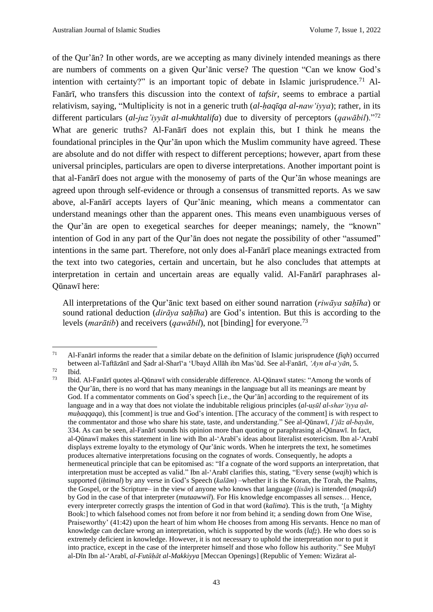of the Qur'ān? In other words, are we accepting as many divinely intended meanings as there are numbers of comments on a given Qur'ānic verse? The question "Can we know God's intention with certainty?" is an important topic of debate in Islamic jurisprudence.<sup>71</sup> Al-Fanārī, who transfers this discussion into the context of *tafsir*, seems to embrace a partial relativism, saying, "Multiplicity is not in a generic truth (*al-ḥaqīqa al-naw'iyya*); rather, in its different particulars (*al-juz'iyyāt al-mukhtalifa*) due to diversity of perceptors (*qawābil*)."<sup>72</sup> What are generic truths? Al-Fanārī does not explain this, but I think he means the foundational principles in the Qur'ān upon which the Muslim community have agreed. These are absolute and do not differ with respect to different perceptions; however, apart from these universal principles, particulars are open to diverse interpretations. Another important point is that al-Fanārī does not argue with the monosemy of parts of the Qur'ān whose meanings are agreed upon through self-evidence or through a consensus of transmitted reports. As we saw above, al-Fanārī accepts layers of Qur'ānic meaning, which means a commentator can understand meanings other than the apparent ones. This means even unambiguous verses of the Qur'ān are open to exegetical searches for deeper meanings; namely, the "known" intention of God in any part of the Qur'ān does not negate the possibility of other "assumed" intentions in the same part. Therefore, not only does al-Fanārī place meanings extracted from the text into two categories, certain and uncertain, but he also concludes that attempts at interpretation in certain and uncertain areas are equally valid. Al-Fanārī paraphrases al-Qūnawī here:

All interpretations of the Qur'ānic text based on either sound narration (*riwāya saḥīha*) or sound rational deduction (*dirāya sahīha*) are God's intention. But this is according to the levels (*marātib*) and receivers (*qawābil*), not [binding] for everyone.<sup>73</sup>

<sup>71</sup> Al-Fanārī informs the reader that a similar debate on the definition of Islamic jurisprudence (*fiqh*) occurred between al-Taftāzānī and Ṣadr al-Sharī'a 'Ubayd Allāh ibn Mas'ūd. See al-Fanārī, *'Ayn al-a'yān*, 5.

 $\frac{72}{73}$  Ibid.

<sup>73</sup> Ibid. Al-Fanārī quotes al-Qūnawī with considerable difference. Al-Qūnawī states: "Among the words of the Qur'ān, there is no word that has many meanings in the language but all its meanings are meant by God. If a commentator comments on God's speech [i.e., the Qur'an] according to the requirement of its language and in a way that does not violate the indubitable religious principles (*al-uṣūl al-shar'iyya almuhaqqaqa*), this [comment] is true and God's intention. [The accuracy of the comment] is with respect to the commentator and those who share his state, taste, and understanding." See al-Qūnawī, *I'jāz al-bayān*, 334. As can be seen, al-Fanārī sounds his opinion more than quoting or paraphrasing al-Qūnawī. In fact, al-Qūnawī makes this statement in line with Ibn al-'Arabī's ideas about literalist esotericism. Ibn al-'Arabī displays extreme loyalty to the etymology of Qur'ānic words. When he interprets the text, he sometimes produces alternative interpretations focusing on the cognates of words. Consequently, he adopts a hermeneutical principle that can be epitomised as: "If a cognate of the word supports an interpretation, that interpretation must be accepted as valid." Ibn al-'Arabī clarifies this, stating, "Every sense (*wajh*) which is supported (*iḥtimal*) by any verse in God's Speech (*kalām*) –whether it is the Koran, the Torah, the Psalms, the Gospel, or the Scripture– in the view of anyone who knows that language (*lisān*) is intended (*maqṣūd*) by God in the case of that interpreter (*mutaawwil*). For His knowledge encompasses all senses… Hence, every interpreter correctly grasps the intention of God in that word (*kalima*). This is the truth, '[a Mighty Book:] to which falsehood comes not from before it nor from behind it; a sending down from One Wise, Praiseworthy' (41:42) upon the heart of him whom He chooses from among His servants. Hence no man of knowledge can declare wrong an interpretation, which is supported by the words (*lafẓ*). He who does so is extremely deficient in knowledge. However, it is not necessary to uphold the interpretation nor to put it into practice, except in the case of the interpreter himself and those who follow his authority." See Muḥyī al-Dīn Ibn al-ʻArabī, *al-Futūḥāt al-Makkiyya* [Meccan Openings] (Republic of Yemen: Wizārat al-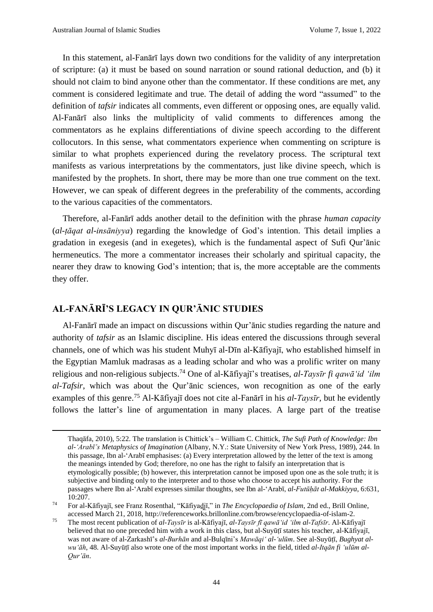In this statement, al-Fanārī lays down two conditions for the validity of any interpretation of scripture: (a) it must be based on sound narration or sound rational deduction, and (b) it should not claim to bind anyone other than the commentator. If these conditions are met, any comment is considered legitimate and true. The detail of adding the word "assumed" to the definition of *tafsir* indicates all comments, even different or opposing ones, are equally valid. Al-Fanārī also links the multiplicity of valid comments to differences among the commentators as he explains differentiations of divine speech according to the different collocutors. In this sense, what commentators experience when commenting on scripture is similar to what prophets experienced during the revelatory process. The scriptural text manifests as various interpretations by the commentators, just like divine speech, which is manifested by the prophets. In short, there may be more than one true comment on the text. However, we can speak of different degrees in the preferability of the comments, according to the various capacities of the commentators.

Therefore, al-Fanārī adds another detail to the definition with the phrase *human capacity* (*al-ṭāqat al-insāniyya*) regarding the knowledge of God's intention. This detail implies a gradation in exegesis (and in exegetes), which is the fundamental aspect of Sufi Qur'ānic hermeneutics. The more a commentator increases their scholarly and spiritual capacity, the nearer they draw to knowing God's intention; that is, the more acceptable are the comments they offer.

#### **AL-FANĀRĪ'S LEGACY IN QUR'ĀNIC STUDIES**

Al-Fanārī made an impact on discussions within Qur'ānic studies regarding the nature and authority of *tafsir* as an Islamic discipline. His ideas entered the discussions through several channels, one of which was his student Muhyī al-Dīn al-Kāfiyajī, who established himself in the Egyptian Mamluk madrasas as a leading scholar and who was a prolific writer on many religious and non-religious subjects.<sup>74</sup> One of al-Kāfiyajī's treatises, *al-Taysīr fi qawā'id 'ilm al-Tafsir*, which was about the Qur'ānic sciences, won recognition as one of the early examples of this genre.<sup>75</sup> Al-Kāfiyajī does not cite al-Fanārī in his *al-Taysīr*, but he evidently follows the latter's line of argumentation in many places. A large part of the treatise

Thaqāfa, 2010), 5:22. The translation is Chittick's – William C. Chittick, *The Sufi Path of Knowledge: Ibn al-'Arabī's Metaphysics of Imagination* (Albany, N.Y.: State University of New York Press, 1989), 244. In this passage, Ibn al-'Arabī emphasises: (a) Every interpretation allowed by the letter of the text is among the meanings intended by God; therefore, no one has the right to falsify an interpretation that is etymologically possible; (b) however, this interpretation cannot be imposed upon one as the sole truth; it is subjective and binding only to the interpreter and to those who choose to accept his authority. For the passages where Ibn al-'Arabī expresses similar thoughts, see Ibn al-'Arabī, *al-Futūḥāt al-Makkiyya*, 6:631, 10:207.

<sup>74</sup> For al-Kāfiyajī, see Franz Rosenthal, "Kāfiyad̲j̲ī," in *The Encyclopaedia of Islam*, 2nd ed., Brill Online, accessed March 21, 2018, http://referenceworks.brillonline.com/browse/encyclopaedia-of-islam-2.

<sup>75</sup> The most recent publication of *al-Taysīr* is al-Kāfiyajī, *al-Taysīr fī qawā'id 'ilm al-Tafsīr*. Al-Kāfiyajī believed that no one preceded him with a work in this class, but al-Suyūtī states his teacher, al-Kāfiyajī, was not aware of al-Zarkashī's *al-Burhān* and al-Bulqīni's *Mawāqi' al-'ulūm*. See al-Suyūṭī, *Bughyat alwu'āh*, 48. Al-Suyūṭī also wrote one of the most important works in the field, titled *al-Itqān fi 'ulūm al-Qur'ān*.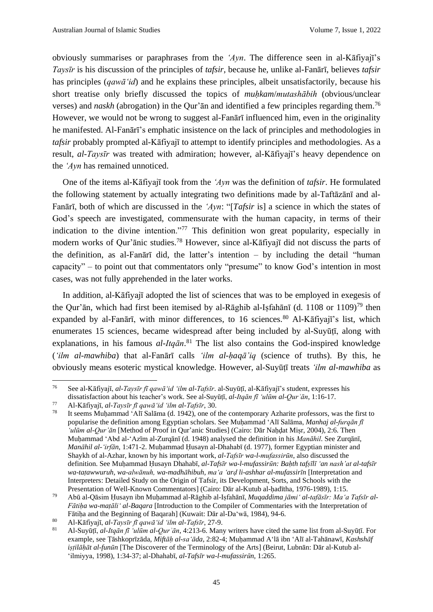obviously summarises or paraphrases from the *'Ayn*. The difference seen in al-Kāfiyajī's *Taysīr* is his discussion of the principles of *tafsir*, because he, unlike al-Fanārī, believes *tafsir* has principles (*qawā'id*) and he explains these principles, albeit unsatisfactorily, because his short treatise only briefly discussed the topics of *muḥkam*/*mutashābih* (obvious/unclear verses) and *naskh* (abrogation) in the Qur'ān and identified a few principles regarding them. 76 However, we would not be wrong to suggest al-Fanārī influenced him, even in the originality he manifested. Al-Fanārī's emphatic insistence on the lack of principles and methodologies in *tafsir* probably prompted al-Kāfiyajī to attempt to identify principles and methodologies. As a result, *al-Taysīr* was treated with admiration; however, al-Kāfiyajī's heavy dependence on the *'Ayn* has remained unnoticed.

One of the items al-Kāfiyajī took from the *'Ayn* was the definition of *tafsir*. He formulated the following statement by actually integrating two definitions made by al-Taftāzānī and al-Fanārī, both of which are discussed in the *'Ayn*: "[*Tafsir* is] a science in which the states of God's speech are investigated, commensurate with the human capacity, in terms of their indication to the divine intention."<sup>77</sup> This definition won great popularity, especially in modern works of Qur'ānic studies.<sup>78</sup> However, since al-Kāfiyajī did not discuss the parts of the definition, as al-Fanārī did, the latter's intention – by including the detail "human capacity" – to point out that commentators only "presume" to know God's intention in most cases, was not fully apprehended in the later works.

In addition, al-Kāfiyajī adopted the list of sciences that was to be employed in exegesis of the Qur'ān, which had first been itemised by al-Rāghib al-Isfahānī (d. 1108 or 1109)<sup>79</sup> then expanded by al-Fanārī, with minor differences, to 16 sciences.<sup>80</sup> Al-Kāfiyajī's list, which enumerates 15 sciences, became widespread after being included by al-Suyūtī, along with explanations, in his famous *al-Itqān*. <sup>81</sup> The list also contains the God-inspired knowledge (*'ilm al-mawhiba*) that al-Fanārī calls *'ilm al-ḥaqā'iq* (science of truths). By this, he obviously means esoteric mystical knowledge. However, al-Suyūṭī treats *'ilm al-mawhiba* as

<sup>76</sup> See al-Kāfiyajī, *al-Taysīr fī qawā'id 'ilm al-Tafsīr*. al-Suyūṭī, al-Kāfiyajī's student, expresses his dissatisfaction about his teacher's work. See al-Suyūṭī, *al-Itqān fī ʻulūm al-Qurʾān*, 1:16-17.

<sup>77</sup> Al-Kāfiyajī, *al-Taysīr fī qawā'id 'ilm al-Tafsīr*, 30.

It seems Muhammad 'Alī Salāma (d. 1942), one of the contemporary Azharite professors, was the first to popularise the definition among Egyptian scholars. See Muḥammad 'Alī Salāma, *Manhaj al-furqān fī 'ulūm al-Qur'ān* [Method of Proof in Qur'anic Studies] (Cairo: Dār Naḥḍat Miṣr, 2004), 2:6. Then Muḥammad 'Abd al-'Azīm al-Zurqānī (d. 1948) analysed the definition in his *Manāhil*. See Zurqānī, *Manāhil al-ʻirfān*, 1:471-2. Muḥammad Ḥusayn al-Dhahabī (d. 1977), former Egyptian minister and Shaykh of al-Azhar, known by his important work, *al-Tafsīr wa-l-mufassirūn*, also discussed the definition. See Muḥammad Ḥusayn Dhahabī, *al-Tafsīr wa-l-mufassirūn: Baḥth tafṣīlī ʻan nash'at al-tafsīr wa-taṭawwuruh, wa-alwānuh, wa-madhāhibuh, maʻa ʻarḍ li-ashhar al-mufassirīn* [Interpretation and Interpreters: Detailed Study on the Origin of Tafsir, its Development, Sorts, and Schools with the Presentation of Well-Known Commentators] (Cairo: Dār al-Kutub al-ḥadītha, 1976-1989), 1:15.

<sup>79</sup> Abū al-Qāsim Ḥusayn ibn Muḥammad al-Rāghib al-Iṣfahānī, *Muqaddima jāmi' al-tafāsīr: Ma'a Tafsīr al-Fātiḥa wa-maṭāli' al-Baqara* [Introduction to the Compiler of Commentaries with the Interpretation of Fātiḥa and the Beginning of Baqarah] (Kuwait: Dār al-Da'wā, 1984), 94-6.

<sup>80</sup> Al-Kāfiyajī, *al-Taysīr fī qawā'id 'ilm al-Tafsīr*, 27-9.

<sup>81</sup> Al-Suyūṭī, *al-Itqān fī ʻulūm al-Qurʾān*, 4:213-6. Many writers have cited the same list from al-Suyūṭī. For example, see Ṭāshkoprīzāda, *Miftāḥ al-saʻāda*, 2:82-4; Muḥammad Aʻlā ibn ʻAlī al-Tahānawī, *Kashshāf iṣṭilāḥāt al-funūn* [The Discoverer of the Terminology of the Arts] (Beirut, Lubnān: Dār al-Kutub al-ʻilmiyya, 1998), 1:34-37; al-Dhahabī, *al-Tafsīr wa-l-mufassirūn*, 1:265.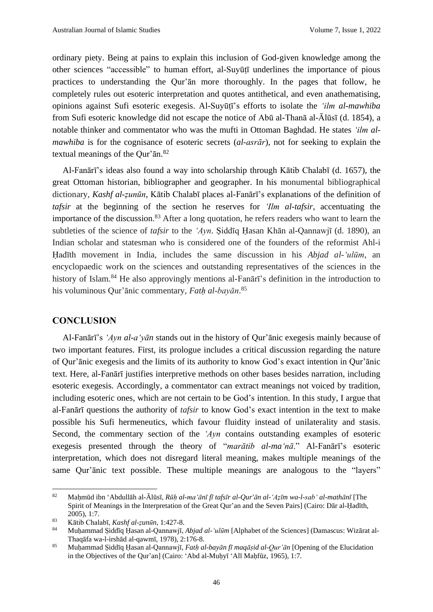ordinary piety. Being at pains to explain this inclusion of God-given knowledge among the other sciences "accessible" to human effort, al-Suyūṭī underlines the importance of pious practices to understanding the Qur'ān more thoroughly. In the pages that follow, he completely rules out esoteric interpretation and quotes antithetical, and even anathematising, opinions against Sufi esoteric exegesis. Al-Suyūṭī's efforts to isolate the *'ilm al-mawhiba* from Sufi esoteric knowledge did not escape the notice of Abū al-Thanā al-Ālūsī (d. 1854), a notable thinker and commentator who was the mufti in Ottoman Baghdad. He states *'ilm almawhiba* is for the cognisance of esoteric secrets (*al-asrār*), not for seeking to explain the textual meanings of the Qur'ān. 82

Al-Fanārī's ideas also found a way into scholarship through Kātib Chalabī (d. 1657), the great Ottoman historian, bibliographer and geographer. In his monumental bibliographical dictionary, *Kashf al-ẓunūn*, Kātib Chalabī places al-Fanārī's explanations of the definition of *tafsir* at the beginning of the section he reserves for *'Ilm al-tafsir*, accentuating the importance of the discussion.<sup>83</sup> After a long quotation, he refers readers who want to learn the subtleties of the science of *tafsir* to the *'Ayn*. Ṣiddīq Ḥasan Khān al-Qannawjī (d. 1890), an Indian scholar and statesman who is considered one of the founders of the reformist Ahl-i Ḥadīth movement in India, includes the same discussion in his *Abjad al-'ulūm*, an encyclopaedic work on the sciences and outstanding representatives of the sciences in the history of Islam.<sup>84</sup> He also approvingly mentions al-Fanari<sup>3</sup>s definition in the introduction to his voluminous Qur'ānic commentary, *Fatḥ al-bayān*. 85

#### **CONCLUSION**

Al-Fanārī's *'Ayn al-a'yān* stands out in the history of Qur'ānic exegesis mainly because of two important features. First, its prologue includes a critical discussion regarding the nature of Qur'ānic exegesis and the limits of its authority to know God's exact intention in Qur'ānic text. Here, al-Fanārī justifies interpretive methods on other bases besides narration, including esoteric exegesis. Accordingly, a commentator can extract meanings not voiced by tradition, including esoteric ones, which are not certain to be God's intention. In this study, I argue that al-Fanārī questions the authority of *tafsir* to know God's exact intention in the text to make possible his Sufi hermeneutics, which favour fluidity instead of unilaterality and stasis. Second, the commentary section of the *'Ayn* contains outstanding examples of esoteric exegesis presented through the theory of "*marātib al-ma'nā*." Al-Fanārī's esoteric interpretation, which does not disregard literal meaning, makes multiple meanings of the same Qur'ānic text possible. These multiple meanings are analogous to the "layers"

<sup>82</sup> Maḥmūd ibn ʻAbdullāh al-Ālūsī, *Rūḥ al-maʻānī fī tafsīr al-Qur'ān al-ʻAẓīm wa-l-sabʻ al-mathānī* [The Spirit of Meanings in the Interpretation of the Great Qur'an and the Seven Pairs] (Cairo: Dār al-Ḥadīth, 2005), 1:7.

<sup>83</sup> Kātib Chalabī, *Kashf al-ẓunūn*, 1:427-8.

<sup>84</sup> Muḥammad Ṣiddīq Ḥasan al-Qannawjī, *Abjad al-ʻulūm* [Alphabet of the Sciences] (Damascus: Wizārat al-Thaqāfa wa-l-irshād al-qawmī, 1978), 2:176-8.

<sup>85</sup> Muḥammad Ṣiddīq Ḥasan al-Qannawjī, *Fatḥ al-bayān fī maqāṣid al-Qur'ān* [Opening of the Elucidation in the Objectives of the Qur'an] (Cairo: ʻAbd al-Muḥyī ʻAlī Maḥfūz, 1965), 1:7.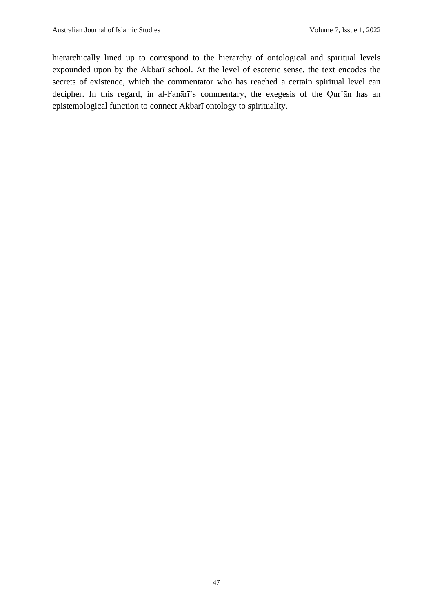hierarchically lined up to correspond to the hierarchy of ontological and spiritual levels expounded upon by the Akbarī school. At the level of esoteric sense, the text encodes the secrets of existence, which the commentator who has reached a certain spiritual level can decipher. In this regard, in al-Fanārī's commentary, the exegesis of the Qur'ān has an epistemological function to connect Akbarī ontology to spirituality.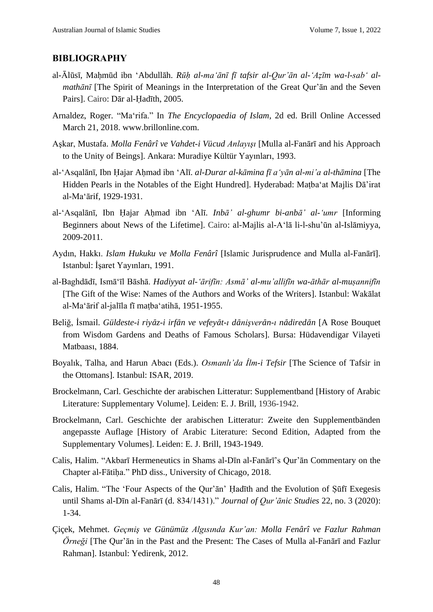#### **BIBLIOGRAPHY**

- al-Ālūsī, Maḥmūd ibn ʻAbdullāh. *Rūḥ al-maʻānī fī tafsir al-Qur'ān al-ʻAẓīm wa-l-sabʻ almathānī* [The Spirit of Meanings in the Interpretation of the Great Qur'ān and the Seven Pairs]. Cairo: Dār al-Ḥadīth, 2005.
- Arnaldez, Roger. "Ma'rifa." In *The Encyclopaedia of Islam*, 2d ed. Brill Online Accessed March 21, 2018. www.brillonline.com.
- Aşkar, Mustafa. *Molla Fenârî ve Vahdet-i Vücud Anlayışı* [Mulla al-Fanārī and his Approach to the Unity of Beings]. Ankara: Muradiye Kültür Yayınları, 1993.
- al-'Asqalānī, Ibn Ḥajar Aḥmad ibn ʻAlī. *al-Durar al-kāmina fī aʻyān al-mi'a al-thāmina* [The Hidden Pearls in the Notables of the Eight Hundred]. Hyderabad: Maṭbaʻat Majlis Dā'irat al-Maʻārif, 1929-1931.
- al-'Asqalānī, Ibn Ḥajar Aḥmad ibn ʻAlī. *Inbā' al-ghumr bi-anbā' al-ʻumr* [Informing Beginners about News of the Lifetime]. Cairo: al-Majlis al-Aʻlā li-l-shu'ūn al-Islāmiyya, 2009-2011.
- Aydın, Hakkı. *Islam Hukuku ve Molla Fenârî* [Islamic Jurisprudence and Mulla al-Fanārī]. Istanbul: İşaret Yayınları, 1991.
- al-Baghdādī, Ismā'īl Bāshā. *Hadiyyat al-'ārifīn: Asmā' al-mu'allifīn wa-āthār al-muṣannifīn* [The Gift of the Wise: Names of the Authors and Works of the Writers]. Istanbul: Wakālat al-Maʻārif al-jalīla fī maṭbaʻatihā, 1951-1955.
- Beliğ, İsmail. Güldeste-i rivāz-i irfān ve vefeyāt-ı dānisverān-ı nādiredān [A Rose Bouquet] from Wisdom Gardens and Deaths of Famous Scholars]. Bursa: Hüdavendigar Vilayeti Matbaası, 1884.
- Boyalık, Talha, and Harun Abacı (Eds.). *Osmanlı'da İlm-i Tefsir* [The Science of Tafsir in the Ottomans]. Istanbul: ISAR, 2019.
- Brockelmann, Carl. Geschichte der arabischen Litteratur: Supplementband [History of Arabic Literature: Supplementary Volume]. Leiden: E. J. Brill, 1936-1942.
- Brockelmann, Carl. Geschichte der arabischen Litteratur: Zweite den Supplementbänden angepasste Auflage [History of Arabic Literature: Second Edition, Adapted from the Supplementary Volumes]. Leiden: E. J. Brill, 1943-1949.
- Calis, Halim. "Akbarī Hermeneutics in Shams al-Dīn al-Fanārī's Qur'ān Commentary on the Chapter al-Fātiḥa." PhD diss., University of Chicago, 2018.
- Calis, Halim. "The 'Four Aspects of the Qur'ān' Ḥadīth and the Evolution of Ṣūfī Exegesis until Shams al-Dīn al-Fanārī (d. 834/1431)." *Journal of Qur'ānic Studies* 22, no. 3 (2020): 1-34.
- Çiçek, Mehmet. *Geçmiş ve Günümüz Algısında Kur'an: Molla Fenârî ve Fazlur Rahman Örneği* [The Qur'ān in the Past and the Present: The Cases of Mulla al-Fanārī and Fazlur Rahman]. Istanbul: Yedirenk, 2012.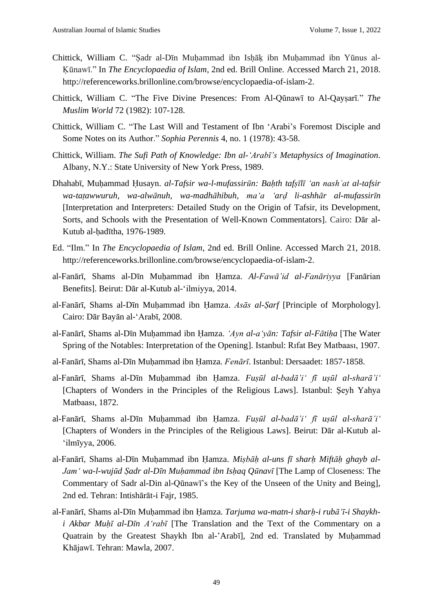- Chittick, William C. "Ṣadr al-Dīn Muḥammad ibn Isḥāḳ ibn Muḥammad ibn Yūnus al-Ḳūnawī." In *The Encyclopaedia of Islam*, 2nd ed. Brill Online. Accessed March 21, 2018. http://referenceworks.brillonline.com/browse/encyclopaedia-of-islam-2.
- Chittick, William C. "The Five Divine Presences: From Al-Qūnawī to Al-Qaysarī." *The Muslim World* 72 (1982): 107-128.
- Chittick, William C. "The Last Will and Testament of Ibn 'Arabi's Foremost Disciple and Some Notes on its Author." *Sophia Perennis* 4, no. 1 (1978): 43-58.
- Chittick, William. *The Sufi Path of Knowledge: Ibn al-'Arabī's Metaphysics of Imagination*. Albany, N.Y.: State University of New York Press, 1989.
- Dhahabī, Muḥammad Ḥusayn. *al-Tafsir wa-l-mufassirūn: Baḥth tafṣīlī ʻan nashʾat al-tafsir wa-taṭawwuruh, wa-alwānuh, wa-madhāhibuh, maʻa ʻarḍ li-ashhār al-mufassirīn* [Interpretation and Interpreters: Detailed Study on the Origin of Tafsir, its Development, Sorts, and Schools with the Presentation of Well-Known Commentators]. Cairo: Dār al-Kutub al-ḥadītha, 1976-1989.
- Ed. "Ilm." In *The Encyclopaedia of Islam*, 2nd ed. Brill Online. Accessed March 21, 2018. http://referenceworks.brillonline.com/browse/encyclopaedia-of-islam-2.
- al-Fanārī, Shams al-Dīn Muḥammad ibn Ḥamza. *Al-Fawā'id al-Fanāriyya* [Fanārian Benefits]. Beirut: Dār al-Kutub al-'ilmiyya, 2014.
- al-Fanārī, Shams al-Dīn Muḥammad ibn Ḥamza. *Asās al-Ṣarf* [Principle of Morphology]. Cairo: Dār Bayān al-'Arabī, 2008.
- al-Fanārī, Shams al-Dīn Muḥammad ibn Ḥamza. *'Ayn al-a'yān: Tafsir al-Fātiḥa* [The Water Spring of the Notables: Interpretation of the Opening]. Istanbul: Rıfat Bey Matbaası, 1907.
- al-Fanārī, Shams al-Dīn Muḥammad ibn Ḥamza. *Fenārī*. Istanbul: Dersaadet: 1857-1858.
- al-Fanārī, Shams al-Dīn Muḥammad ibn Ḥamza. *Fuṣūl al-badā'i' fī uṣūl al-sharā'i'* [Chapters of Wonders in the Principles of the Religious Laws]. Istanbul: Şeyh Yahya Matbaası, 1872.
- al-Fanārī, Shams al-Dīn Muḥammad ibn Ḥamza. *Fuṣūl al-badā'i' fī uṣūl al-sharā'i'* [Chapters of Wonders in the Principles of the Religious Laws]. Beirut: Dār al-Kutub al- 'ilmīyya, 2006.
- al-Fanārī, Shams al-Dīn Muḥammad ibn Ḥamza. *Miṣbāḥ al-uns fī sharḥ Miftāḥ ghayb al-Jamʻ wa-l-wujūd Ṣadr al-Dīn Muḥammad ibn Isḥaq Qūnavī* [The Lamp of Closeness: The Commentary of Sadr al-Din al-Qūnawī's the Key of the Unseen of the Unity and Being], 2nd ed. Tehran: Intishārāt-i Fajr, 1985.
- al-Fanārī, Shams al-Dīn Muḥammad ibn Ḥamza. *Tarjuma wa-matn-i sharḥ-i rubā'ī-i Shaykhi Akbar Muḥī al-Dīn A'rabī* [The Translation and the Text of the Commentary on a Quatrain by the Greatest Shaykh Ibn al-'Arabī], 2nd ed. Translated by Muḥammad Khājawī. Tehran: Mawla, 2007.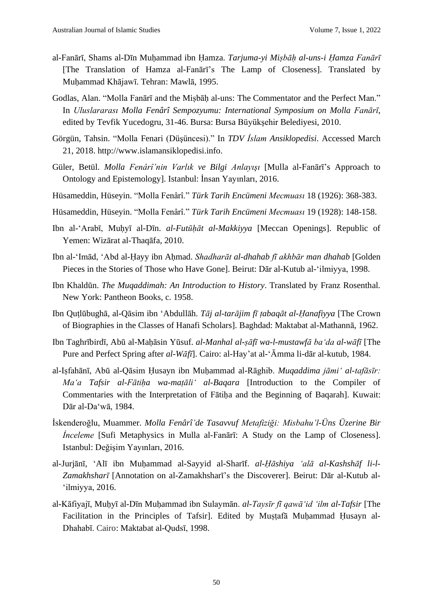- al-Fanārī, Shams al-Dīn Muḥammad ibn Ḥamza. *Tarjuma-yi Miṣbāḥ al-uns-i Ḥamza Fanārī* [The Translation of Hamza al-Fanārī's The Lamp of Closeness]. Translated by Muḥammad Khājawī. Tehran: Mawlā, 1995.
- Godlas, Alan. "Molla Fanārī and the Misbāh al-uns: The Commentator and the Perfect Man." In *Uluslararası Molla Fenârî Sempozyumu: International Symposium on Molla Fanārī*, edited by Tevfik Yucedogru, 31-46. Bursa: Bursa Büyükşehir Belediyesi, 2010.
- Görgün, Tahsin. "Molla Fenari (Düşüncesi)." In *TDV İslam Ansiklopedisi*. Accessed March 21, 2018. http://www.islamansiklopedisi.info.
- Güler, Betül. *Molla Fenârî'nin Varlık ve Bilgi Anlayışı* [Mulla al-Fanārī's Approach to Ontology and Epistemology]. Istanbul: İnsan Yayınları, 2016.
- Hüsameddin, Hüseyin. "Molla Fenârî." *Türk Tarih Encümeni Mecmuası* 18 (1926): 368-383.
- Hüsameddin, Hüseyin. "Molla Fenârî." *Türk Tarih Encümeni Mecmuası* 19 (1928): 148-158.
- Ibn al-'Arabī, Muḥyī al-Dīn. *al-Futūḥāt al-Makkiyya* [Meccan Openings]. Republic of Yemen: Wizārat al-Thaqāfa, 2010.
- Ibn al-'Imād, 'Abd al-Ḥayy ibn Aḥmad. *Shadharāt al-dhahab fī akhbār man dhahab* [Golden Pieces in the Stories of Those who Have Gone]. Beirut: Dār al-Kutub al-ʻilmiyya, 1998.
- Ibn Khaldūn. *The Muqaddimah: An Introduction to History*. Translated by Franz Rosenthal. New York: Pantheon Books, c. 1958.
- Ibn Quṭlūbughā, al-Qāsim ibn ʻAbdullāh. *Tāj al-tarājim fī ṭabaqāt al-Ḥanafiyya* [The Crown of Biographies in the Classes of Hanafi Scholars]. Baghdad: Maktabat al-Mathannā, 1962.
- Ibn Taghrībirdī, Abū al-Maḥāsin Yūsuf. *al-Manhal al-ṣāfī wa-l-mustawfā baʻda al-wāfī* [The Pure and Perfect Spring after *al-Wāfī*]. Cairo: al-Hay'at al-ʻĀmma li-dār al-kutub, 1984.
- al-Iṣfahānī, Abū al-Qāsim Ḥusayn ibn Muḥammad al-Rāghib. *Muqaddima jāmi' al-tafāsīr: Ma'a Tafsir al-Fātiḥa wa-maṭāli' al-Baqara* [Introduction to the Compiler of Commentaries with the Interpretation of Fātiha and the Beginning of Baqarah]. Kuwait: Dār al-Da'wā, 1984.
- İskenderoğlu, Muammer. *Molla Fenârî'de Tasavvuf Metafiziği: Misbahu'l-Üns Üzerine Bir İnceleme* [Sufi Metaphysics in Mulla al-Fanārī: A Study on the Lamp of Closeness]. Istanbul: Değişim Yayınları, 2016.
- al-Jurjānī, ʻAlī ibn Muḥammad al-Sayyid al-Sharīf. *al-Ḥāshiya ʻalā al-Kashshāf li-l-Zamakhsharī* [Annotation on al-Zamakhsharī's the Discoverer]. Beirut: Dār al-Kutub al-ʻilmiyya, 2016.
- al-Kāfiyajī, Muḥyī al-Dīn Muḥammad ibn Sulaymān. *al-Taysīr fī qawā'id 'ilm al-Tafsir* [The Facilitation in the Principles of Tafsir]. Edited by Muṣṭafā Muḥammad Ḥusayn al-Dhahabī. Cairo: Maktabat al-Qudsī, 1998.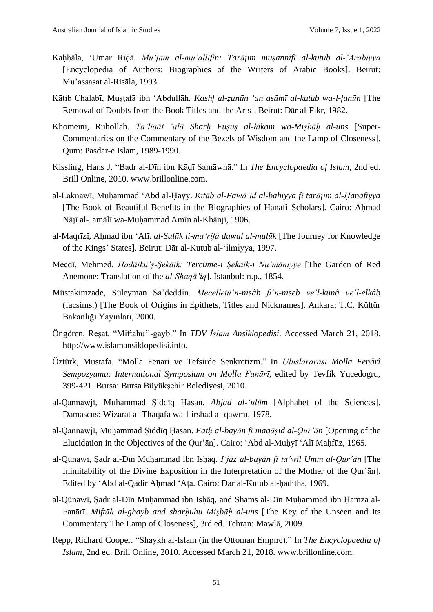- Kaḥḥāla, ʻUmar Riḍā. *Muʻjam al-mu'allifīn: Tarājim muṣannifī al-kutub al-ʻArabiyya* [Encyclopedia of Authors: Biographies of the Writers of Arabic Books]. Beirut: Mu'assasat al-Risāla, 1993.
- Kātib Chalabī, Muṣṭafā ibn 'Abdullāh. *Kashf al-ẓunūn ʻan asāmī al-kutub wa-l-funūn* [The Removal of Doubts from the Book Titles and the Arts]. Beirut: Dār al-Fikr, 1982.
- Khomeini, Ruhollah. *Ta'liqāt 'alā Sharḥ Fuṣuṣ al-ḥikam wa-Miṣbāḥ al-uns* [Super-Commentaries on the Commentary of the Bezels of Wisdom and the Lamp of Closeness]. Qum: Pasdar-e Islam, 1989-1990.
- Kissling, Hans J. "Badr al-Dīn ibn Kāḍī Samāwnā." In *The Encyclopaedia of Islam*, 2nd ed. Brill Online, 2010. www.brillonline.com.
- al-Laknawī, Muḥammad ʻAbd al-Ḥayy. *Kitāb al-Fawā'id al-bahiyya fī tarājim al-Ḥanafiyya* [The Book of Beautiful Benefits in the Biographies of Hanafi Scholars]. Cairo: Aḥmad Nājī al-Jamālī wa-Muḥammad Amīn al-Khānjī, 1906.
- al-Maqrīzī, Aḥmad ibn ʻAlī. *al-Sulūk li-maʻrifa duwal al-mulūk* [The Journey for Knowledge of the Kings' States]. Beirut: Dār al-Kutub al-ʻilmiyya, 1997.
- Mecdī, Mehmed. *Hadāiku'ş-Şekāik: Tercüme-i Şekaik-i Nu'māniyye* [The Garden of Red Anemone: Translation of the *al-Shaqā'iq*]. Istanbul: n.p., 1854.
- Müstakimzade, Süleyman Sa'deddin. *Mecelletü'n-nisâb fi'n-niseb ve'l-künâ ve'l-elkâb* (facsims.) [The Book of Origins in Epithets, Titles and Nicknames]. Ankara: T.C. Kültür Bakanlığı Yayınları, 2000.
- Öngören, Reşat. "Miftahu'l-gayb." In *TDV İslam Ansiklopedisi*. Accessed March 21, 2018. http://www.islamansiklopedisi.info.
- Öztürk, Mustafa. "Molla Fenari ve Tefsirde Senkretizm." In *Uluslararası Molla Fenârî Sempozyumu: International Symposium on Molla Fanārī*, edited by Tevfik Yucedogru, 399-421. Bursa: Bursa Büyükşehir Belediyesi, 2010.
- al-Qannawjī, Muḥammad Ṣiddīq Ḥasan. *Abjad al-ʻulūm* [Alphabet of the Sciences]. Damascus: Wizārat al-Thaqāfa wa-l-irshād al-qawmī, 1978.
- al-Qannawjī, Muḥammad Ṣiddīq Ḥasan. *Fatḥ al-bayān fī maqāṣid al-Qur'ān* [Opening of the Elucidation in the Objectives of the Qur'ān]. Cairo: ʻAbd al-Muḥyī ʻAlī Maḥfūz, 1965.
- al-Qūnawī, Ṣadr al-Dīn Muḥammad ibn Isḥāq. *Iʻjāz al-bayān fī ta'wīl Umm al-Qur'ān* [The Inimitability of the Divine Exposition in the Interpretation of the Mother of the Qur'ān]. Edited by ʻAbd al-Qādir Aḥmad ʻAṭā. Cairo: Dār al-Kutub al-ḥadītha, 1969.
- al-Qūnawī, Ṣadr al-Dīn Muḥammad ibn Isḥāq, and Shams al-Dīn Muḥammad ibn Ḥamza al-Fanārī. *Miftāḥ al-ghayb and sharḥuhu Miṣbāḥ al-uns* [The Key of the Unseen and Its Commentary The Lamp of Closeness], 3rd ed. Tehran: Mawlā, 2009.
- Repp, Richard Cooper. "Shaykh al-Islam (in the Ottoman Empire)." In *The Encyclopaedia of Islam*, 2nd ed. Brill Online, 2010. Accessed March 21, 2018. www.brillonline.com.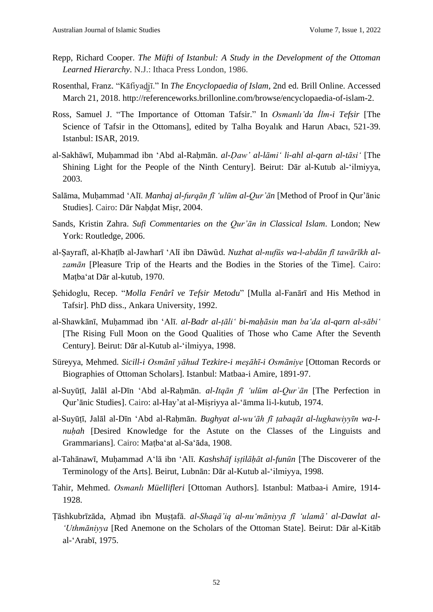- Repp, Richard Cooper. *The Müfti of Istanbul: A Study in the Development of the Ottoman Learned Hierarchy*. N.J.: Ithaca Press London, 1986.
- Rosenthal, Franz. "Kāfiyad̲j̲ī." In *The Encyclopaedia of Islam*, 2nd ed. Brill Online. Accessed March 21, 2018. http://referenceworks.brillonline.com/browse/encyclopaedia-of-islam-2.
- Ross, Samuel J. "The Importance of Ottoman Tafsir." In *Osmanlı'da İlm-i Tefsir* [The Science of Tafsir in the Ottomans], edited by Talha Boyalık and Harun Abacı, 521-39. Istanbul: ISAR, 2019.
- al-Sakhāwī, Muḥammad ibn ʻAbd al-Raḥmān. *al-Ḍaw' al-lāmiʻ li-ahl al-qarn al-tāsiʻ* [The Shining Light for the People of the Ninth Century]. Beirut: Dār al-Kutub al-ʻilmiyya, 2003.
- Salāma, Muḥammad 'Alī. *Manhaj al-furqān fī 'ulūm al-Qur'ān* [Method of Proof in Qur'ānic Studies]. Cairo: Dār Naḥḍat Miṣr, 2004.
- Sands, Kristin Zahra. *Sufi Commentaries on the Qur'ān in Classical Islam*. London; New York: Routledge, 2006.
- al-Ṣayrafī, al-Khaṭīb al-Jawharī 'Alī ibn Dāwūd. *Nuzhat al-nufūs wa-l-abdān fī tawārīkh alzamān* [Pleasure Trip of the Hearts and the Bodies in the Stories of the Time]. Cairo: Maṭba'at Dār al-kutub, 1970.
- Şehidoglu, Recep. "*Molla Fenârî ve Tefsir Metodu*" [Mulla al-Fanārī and His Method in Tafsir]. PhD diss., Ankara University, 1992.
- al-Shawkānī, Muḥammad ibn 'Alī. *al-Badr al-ṭāli' bi-maḥāsin man ba'da al-qarn al-sābi'* [The Rising Full Moon on the Good Qualities of Those who Came After the Seventh Century]. Beirut: Dār al-Kutub al-ʻilmiyya, 1998.
- Süreyya, Mehmed. *Sicill-i Osmānī yāhud Tezkire-i meşāhī-i Osmāniye* [Ottoman Records or Biographies of Ottoman Scholars]. Istanbul: Matbaa-i Amire, 1891-97.
- al-Suyūṭī, Jalāl al-Dīn ʻAbd al-Raḥmān. *al-Itqān fī ʻulūm al-Qurʾān* [The Perfection in Qur'ānic Studies]. Cairo: al-Hay'at al-Miṣriyya al-'āmma li-l-kutub, 1974.
- al-Suyūṭī, Jalāl al-Dīn ʻAbd al-Raḥmān. *Bughyat al-wu'āh fī ṭabaqāt al-lughawiyyīn wa-lnuḥah* [Desired Knowledge for the Astute on the Classes of the Linguists and Grammarians]. Cairo: Maṭbaʻat al-Saʻāda, 1908.
- al-Tahānawī, Muḥammad Aʻlā ibn ʻAlī. *Kashshāf iṣṭilāḥāt al-funūn* [The Discoverer of the Terminology of the Arts]. Beirut, Lubnān: Dār al-Kutub al-ʻilmiyya, 1998.
- Tahir, Mehmed. *Osmanlı Müellifleri* [Ottoman Authors]. Istanbul: Matbaa-i Amire, 1914- 1928.
- Ṭāshkubrīzāda, Aḥmad ibn Muṣṭafā. *al-Shaqā'iq al-nu'māniyya fī 'ulamā' al-Dawlat al- 'Uthmāniyya* [Red Anemone on the Scholars of the Ottoman State]. Beirut: Dār al-Kitāb al-'Arabī, 1975.